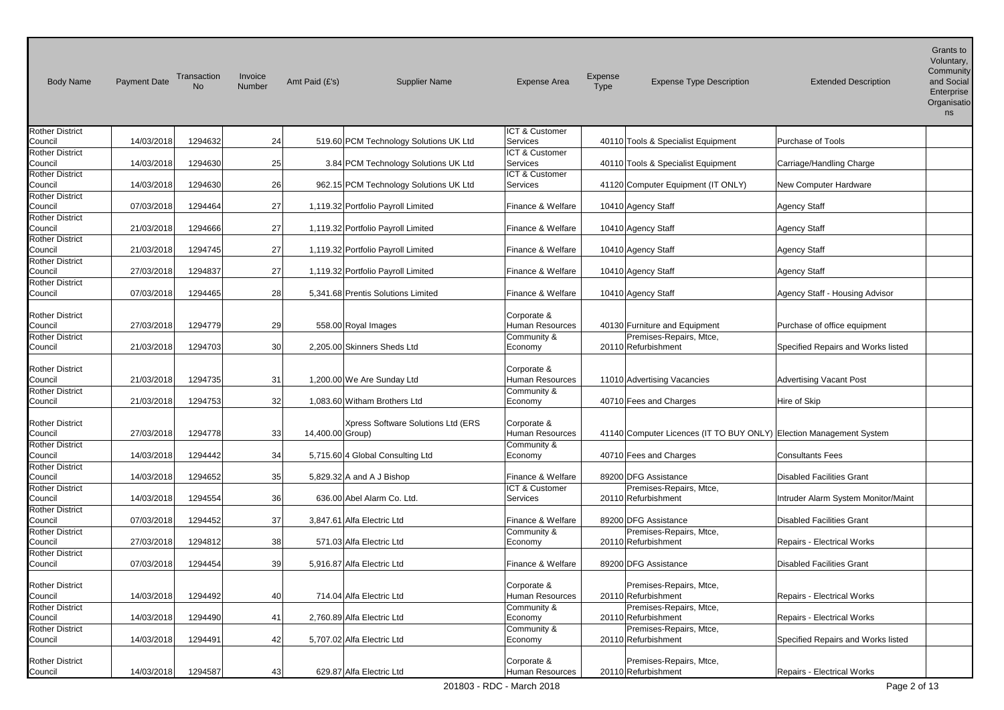| <b>Body Name</b>                  | <b>Payment Date</b> | Transaction<br><b>No</b> | Invoice<br>Number | Amt Paid $(E's)$           | <b>Supplier Name</b>                   | <b>Expense Area</b>              | Expense<br><b>Type</b> | <b>Expense Type Description</b>                                     | <b>Extended Description</b>         | Grants to<br>Voluntary,<br>Community<br>and Social<br>Enterprise<br>Organisatio<br>ns |
|-----------------------------------|---------------------|--------------------------|-------------------|----------------------------|----------------------------------------|----------------------------------|------------------------|---------------------------------------------------------------------|-------------------------------------|---------------------------------------------------------------------------------------|
| <b>Rother District</b>            |                     | 1294632                  |                   |                            |                                        | ICT & Customer<br>Services       |                        |                                                                     |                                     |                                                                                       |
| Council<br><b>Rother District</b> | 14/03/2018          |                          | 24                |                            | 519.60 PCM Technology Solutions UK Ltd | ICT & Customer                   |                        | 40110 Tools & Specialist Equipment                                  | Purchase of Tools                   |                                                                                       |
| Council                           | 14/03/2018          | 1294630                  | 25                |                            | 3.84 PCM Technology Solutions UK Ltd   | Services                         |                        | 40110 Tools & Specialist Equipment                                  | Carriage/Handling Charge            |                                                                                       |
| <b>Rother District</b>            |                     |                          |                   |                            |                                        | ICT & Customer                   |                        |                                                                     |                                     |                                                                                       |
| Council<br><b>Rother District</b> | 14/03/2018          | 1294630                  | 26                |                            | 962.15 PCM Technology Solutions UK Ltd | Services                         |                        | 41120 Computer Equipment (IT ONLY)                                  | New Computer Hardware               |                                                                                       |
| Council                           | 07/03/2018          | 1294464                  | 27                |                            | 1,119.32 Portfolio Payroll Limited     | Finance & Welfare                |                        | 10410 Agency Staff                                                  | <b>Agency Staff</b>                 |                                                                                       |
| <b>Rother District</b>            |                     |                          |                   |                            |                                        |                                  |                        |                                                                     |                                     |                                                                                       |
| Council                           | 21/03/2018          | 1294666                  | 27                |                            | 1,119.32 Portfolio Payroll Limited     | Finance & Welfare                |                        | 10410 Agency Staff                                                  | <b>Agency Staff</b>                 |                                                                                       |
| <b>Rother District</b><br>Council | 21/03/2018          | 1294745                  | 27                |                            | 1,119.32 Portfolio Payroll Limited     | Finance & Welfare                |                        | 10410 Agency Staff                                                  | <b>Agency Staff</b>                 |                                                                                       |
| <b>Rother District</b>            |                     |                          |                   |                            |                                        |                                  |                        |                                                                     |                                     |                                                                                       |
| Council                           | 27/03/2018          | 1294837                  | 27                |                            | 1,119.32 Portfolio Payroll Limited     | Finance & Welfare                |                        | 10410 Agency Staff                                                  | <b>Agency Staff</b>                 |                                                                                       |
| <b>Rother District</b>            |                     |                          |                   |                            |                                        |                                  |                        |                                                                     |                                     |                                                                                       |
| Council                           | 07/03/2018          | 1294465                  | 28                |                            | 5,341.68 Prentis Solutions Limited     | Finance & Welfare                |                        | 10410 Agency Staff                                                  | Agency Staff - Housing Advisor      |                                                                                       |
| <b>Rother District</b>            |                     |                          |                   |                            |                                        | Corporate &                      |                        |                                                                     |                                     |                                                                                       |
| Council                           | 27/03/2018          | 1294779                  | 29                | 558.00 Royal Images        |                                        | Human Resources                  |                        | 40130 Furniture and Equipment                                       | Purchase of office equipment        |                                                                                       |
| <b>Rother District</b>            |                     |                          |                   |                            |                                        | Community &                      |                        | Premises-Repairs, Mtce,                                             |                                     |                                                                                       |
| Council                           | 21/03/2018          | 1294703                  | 30                |                            | 2,205.00 Skinners Sheds Ltd            | Economy                          |                        | 20110 Refurbishment                                                 | Specified Repairs and Works listed  |                                                                                       |
| <b>Rother District</b>            |                     |                          |                   |                            |                                        | Corporate &                      |                        |                                                                     |                                     |                                                                                       |
| Council                           | 21/03/2018          | 1294735                  | 31                |                            | 1,200.00 We Are Sunday Ltd             | Human Resources                  |                        | 11010 Advertising Vacancies                                         | <b>Advertising Vacant Post</b>      |                                                                                       |
| <b>Rother District</b>            |                     |                          |                   |                            |                                        | Community &                      |                        |                                                                     |                                     |                                                                                       |
| Council                           | 21/03/2018          | 1294753                  | 32                |                            | 1,083.60 Witham Brothers Ltd           | Economy                          |                        | 40710 Fees and Charges                                              | Hire of Skip                        |                                                                                       |
| <b>Rother District</b>            |                     |                          |                   |                            | Xpress Software Solutions Ltd (ERS     | Corporate &                      |                        |                                                                     |                                     |                                                                                       |
| Council                           | 27/03/2018          | 1294778                  | 33                | 14,400.00 Group)           |                                        | Human Resources                  |                        | 41140 Computer Licences (IT TO BUY ONLY) Election Management System |                                     |                                                                                       |
| <b>Rother District</b>            |                     |                          |                   |                            |                                        | Community &                      |                        |                                                                     |                                     |                                                                                       |
| Council                           | 14/03/2018          | 1294442                  | 34                |                            | 5,715.60 4 Global Consulting Ltd       | Economy                          |                        | 40710 Fees and Charges                                              | <b>Consultants Fees</b>             |                                                                                       |
| <b>Rother District</b><br>Council | 14/03/2018          | 1294652                  | 35                |                            | 5,829.32 A and A J Bishop              | Finance & Welfare                |                        | 89200 DFG Assistance                                                | <b>Disabled Facilities Grant</b>    |                                                                                       |
| <b>Rother District</b>            |                     |                          |                   |                            |                                        | ICT & Customer                   |                        | Premises-Repairs, Mtce,                                             |                                     |                                                                                       |
| Council                           | 14/03/2018          | 1294554                  | 36                |                            | 636.00 Abel Alarm Co. Ltd.             | Services                         |                        | 20110 Refurbishment                                                 | Intruder Alarm System Monitor/Maint |                                                                                       |
| <b>Rother District</b>            |                     |                          |                   |                            |                                        |                                  |                        |                                                                     |                                     |                                                                                       |
| Council<br><b>Rother District</b> | 07/03/2018          | 1294452                  | 37                | 3,847.61 Alfa Electric Ltd |                                        | Finance & Welfare<br>Community & |                        | 89200 DFG Assistance<br>Premises-Repairs, Mtce,                     | <b>Disabled Facilities Grant</b>    |                                                                                       |
| Council                           | 27/03/2018          | 1294812                  | 38                |                            | 571.03 Alfa Electric Ltd               | Economy                          |                        | 20110 Refurbishment                                                 | <b>Repairs - Electrical Works</b>   |                                                                                       |
| <b>Rother District</b>            |                     |                          |                   |                            |                                        |                                  |                        |                                                                     |                                     |                                                                                       |
| Council                           | 07/03/2018          | 1294454                  | 39                | 5,916.87 Alfa Electric Ltd |                                        | Finance & Welfare                |                        | 89200 DFG Assistance                                                | <b>Disabled Facilities Grant</b>    |                                                                                       |
|                                   |                     |                          |                   |                            |                                        |                                  |                        |                                                                     |                                     |                                                                                       |
| <b>Rother District</b><br>Council | 14/03/2018          | 1294492                  | 40                |                            | 714.04 Alfa Electric Ltd               | Corporate &<br>Human Resources   |                        | Premises-Repairs, Mtce,<br>20110 Refurbishment                      | <b>Repairs - Electrical Works</b>   |                                                                                       |
| <b>Rother District</b>            |                     |                          |                   |                            |                                        | Community &                      |                        | Premises-Repairs, Mtce,                                             |                                     |                                                                                       |
| Council                           | 14/03/2018          | 1294490                  | 41                | 2,760.89 Alfa Electric Ltd |                                        | Economy                          |                        | 20110 Refurbishment                                                 | <b>Repairs - Electrical Works</b>   |                                                                                       |
| <b>Rother District</b>            |                     |                          |                   |                            |                                        | Community &                      |                        | Premises-Repairs, Mtce,                                             |                                     |                                                                                       |
| Council                           | 14/03/2018          | 1294491                  | 42                | 5,707.02 Alfa Electric Ltd |                                        | Economy                          |                        | 20110 Refurbishment                                                 | Specified Repairs and Works listed  |                                                                                       |
| <b>Rother District</b><br>Council | 14/03/2018          | 1294587                  | 43                |                            | 629.87 Alfa Electric Ltd               | Corporate &<br>Human Resources   |                        | Premises-Repairs, Mtce,<br>20110 Refurbishment                      | Repairs - Electrical Works          |                                                                                       |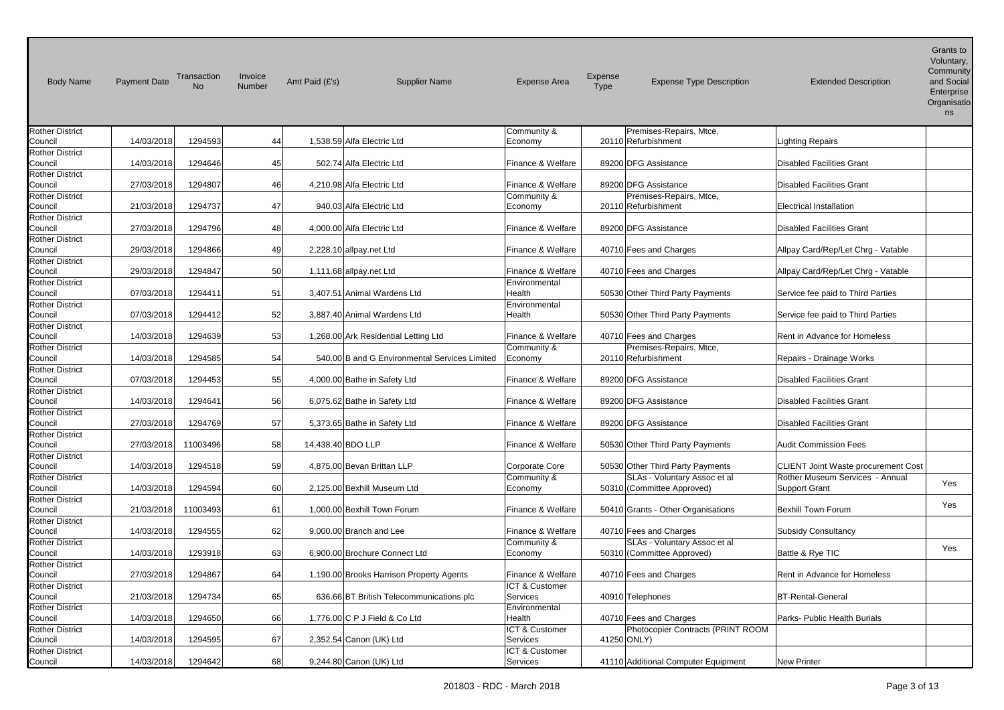| <b>Body Name</b>                  | <b>Payment Date</b> | Transaction<br>N <sub>o</sub> | Invoice<br>Number | Amt Paid (£'s)<br><b>Supplier Name</b>        | <b>Expense Area</b>        | Expense<br><b>Expense Type Description</b><br><b>Type</b>  | <b>Extended Description</b>                | Grants to<br>Voluntary,<br>Community<br>and Social<br>Enterprise<br>Organisatio<br>ns |
|-----------------------------------|---------------------|-------------------------------|-------------------|-----------------------------------------------|----------------------------|------------------------------------------------------------|--------------------------------------------|---------------------------------------------------------------------------------------|
| <b>Rother District</b>            |                     |                               |                   |                                               | Community &                | Premises-Repairs, Mtce,                                    |                                            |                                                                                       |
| Council                           | 14/03/2018          | 1294593                       | 44                | 1,538.59 Alfa Electric Ltd                    | Economy                    | 20110 Refurbishment                                        | <b>Lighting Repairs</b>                    |                                                                                       |
| <b>Rother District</b>            |                     |                               |                   |                                               |                            |                                                            |                                            |                                                                                       |
| Council                           | 14/03/2018          | 1294646                       | 45                | 502.74 Alfa Electric Ltd                      | Finance & Welfare          | 89200 DFG Assistance                                       | <b>Disabled Facilities Grant</b>           |                                                                                       |
| Rother District<br>Council        | 27/03/2018          | 1294807                       | 46                | 4,210.98 Alfa Electric Ltd                    | Finance & Welfare          | 89200 DFG Assistance                                       | <b>Disabled Facilities Grant</b>           |                                                                                       |
| <b>Rother District</b>            |                     |                               |                   |                                               | Community &                | Premises-Repairs, Mtce,                                    |                                            |                                                                                       |
| Council                           | 21/03/2018          | 1294737                       | 47                | 940.03 Alfa Electric Ltd                      | Economy                    | 20110 Refurbishment                                        | <b>Electrical Installation</b>             |                                                                                       |
| <b>Rother District</b>            |                     |                               |                   |                                               |                            |                                                            |                                            |                                                                                       |
| Council                           | 27/03/2018          | 1294796                       | 48                | 4,000.00 Alfa Electric Ltd                    | Finance & Welfare          | 89200 DFG Assistance                                       | <b>Disabled Facilities Grant</b>           |                                                                                       |
| <b>Rother District</b>            |                     |                               |                   |                                               |                            |                                                            |                                            |                                                                                       |
| Council                           | 29/03/2018          | 1294866                       | 49                | 2,228.10 allpay.net Ltd                       | Finance & Welfare          | 40710 Fees and Charges                                     | Allpay Card/Rep/Let Chrg - Vatable         |                                                                                       |
| <b>Rother District</b>            |                     |                               |                   |                                               |                            |                                                            |                                            |                                                                                       |
| Council                           | 29/03/2018          | 1294847                       | 50                | 1,111.68 allpay net Ltd                       | Finance & Welfare          | 40710 Fees and Charges                                     | Allpay Card/Rep/Let Chrg - Vatable         |                                                                                       |
| <b>Rother District</b>            |                     |                               |                   |                                               | Environmental              |                                                            |                                            |                                                                                       |
| Council<br><b>Rother District</b> | 07/03/2018          | 1294411                       | 51                | 3,407.51 Animal Wardens Ltd                   | Health<br>Environmental    | 50530 Other Third Party Payments                           | Service fee paid to Third Parties          |                                                                                       |
| Council                           | 07/03/2018          | 1294412                       | 52                | 3,887.40 Animal Wardens Ltd                   | Health                     | 50530 Other Third Party Payments                           | Service fee paid to Third Parties          |                                                                                       |
| <b>Rother District</b>            |                     |                               |                   |                                               |                            |                                                            |                                            |                                                                                       |
| Council                           | 14/03/2018          | 1294639                       | 53                | 1,268.00 Ark Residential Letting Ltd          | Finance & Welfare          | 40710 Fees and Charges                                     | Rent in Advance for Homeless               |                                                                                       |
| <b>Rother District</b>            |                     |                               |                   |                                               | Community &                | Premises-Repairs, Mtce,                                    |                                            |                                                                                       |
| Council                           | 14/03/2018          | 1294585                       | 54                | 540.00 B and G Environmental Services Limited | Economy                    | 20110 Refurbishment                                        | Repairs - Drainage Works                   |                                                                                       |
| <b>Rother District</b>            |                     |                               |                   |                                               |                            |                                                            |                                            |                                                                                       |
| Council                           | 07/03/2018          | 1294453                       | 55                | 4,000.00 Bathe in Safety Ltd                  | Finance & Welfare          | 89200 DFG Assistance                                       | <b>Disabled Facilities Grant</b>           |                                                                                       |
| <b>Rother District</b>            |                     |                               |                   |                                               |                            |                                                            |                                            |                                                                                       |
| Council                           | 14/03/2018          | 1294641                       | 56                | 6,075.62 Bathe in Safety Ltd                  | Finance & Welfare          | 89200 DFG Assistance                                       | <b>Disabled Facilities Grant</b>           |                                                                                       |
| <b>Rother District</b>            |                     |                               |                   |                                               |                            |                                                            |                                            |                                                                                       |
| Council<br><b>Rother District</b> | 27/03/2018          | 1294769                       | 57                | 5,373.65 Bathe in Safety Ltd                  | Finance & Welfare          | 89200 DFG Assistance                                       | <b>Disabled Facilities Grant</b>           |                                                                                       |
| Council                           | 27/03/2018          | 11003496                      | 58                | 14,438.40 BDO LLP                             | Finance & Welfare          | 50530 Other Third Party Payments                           | <b>Audit Commission Fees</b>               |                                                                                       |
| Rother District                   |                     |                               |                   |                                               |                            |                                                            |                                            |                                                                                       |
| Council                           | 14/03/2018          | 1294518                       | 59                | 4,875.00 Bevan Brittan LLP                    | Corporate Core             | 50530 Other Third Party Payments                           | <b>CLIENT Joint Waste procurement Cost</b> |                                                                                       |
| <b>Rother District</b>            |                     |                               |                   |                                               | Community &                | SLAs - Voluntary Assoc et al                               | Rother Museum Services - Annual            |                                                                                       |
| Council                           | 14/03/2018          | 1294594                       | 60                | 2,125.00 Bexhill Museum Ltd                   | Economy                    | 50310 (Committee Approved)                                 | <b>Support Grant</b>                       | Yes                                                                                   |
| <b>Rother District</b>            |                     |                               |                   |                                               |                            |                                                            |                                            | Yes                                                                                   |
| Council                           | 21/03/2018          | 11003493                      | 61                | 1,000.00 Bexhill Town Forum                   | Finance & Welfare          | 50410 Grants - Other Organisations                         | <b>Bexhill Town Forum</b>                  |                                                                                       |
| <b>Rother District</b>            |                     |                               |                   |                                               |                            |                                                            |                                            |                                                                                       |
| Council                           | 14/03/2018          | 1294555                       | 62                | 9,000.00 Branch and Lee                       | Finance & Welfare          | 40710 Fees and Charges                                     | <b>Subsidy Consultancy</b>                 |                                                                                       |
| <b>Rother District</b><br>Council | 14/03/2018          | 1293918                       | 63                | 6,900.00 Brochure Connect Ltd                 | Community &<br>Economy     | SLAs - Voluntary Assoc et al<br>50310 (Committee Approved) | Battle & Rye TIC                           | Yes                                                                                   |
| <b>Rother District</b>            |                     |                               |                   |                                               |                            |                                                            |                                            |                                                                                       |
| Council                           | 27/03/2018          | 1294867                       | 64                | 1,190.00 Brooks Harrison Property Agents      | Finance & Welfare          | 40710 Fees and Charges                                     | Rent in Advance for Homeless               |                                                                                       |
| <b>Rother District</b>            |                     |                               |                   |                                               | ICT & Customer             |                                                            |                                            |                                                                                       |
| Council                           | 21/03/2018          | 1294734                       | 65                | 636.66 BT British Telecommunications plc      | Services                   | 40910 Telephones                                           | <b>BT-Rental-General</b>                   |                                                                                       |
| <b>Rother District</b>            |                     |                               |                   |                                               | Environmental              |                                                            |                                            |                                                                                       |
| Council                           | 14/03/2018          | 1294650                       | 66                | 1,776.00 C P J Field & Co Ltd                 | Health                     | 40710 Fees and Charges                                     | Parks- Public Health Burials               |                                                                                       |
| <b>Rother District</b>            |                     |                               |                   |                                               | ICT & Customer             | Photocopier Contracts (PRINT ROOM                          |                                            |                                                                                       |
| Council                           | 14/03/2018          | 1294595                       | 67                | 2,352.54 Canon (UK) Ltd                       | Services                   | 41250 ONLY)                                                |                                            |                                                                                       |
| <b>Rother District</b><br>Council | 14/03/2018          | 1294642                       | 68                | 9,244.80 Canon (UK) Ltd                       | ICT & Customer<br>Services | 41110 Additional Computer Equipment                        | <b>New Printer</b>                         |                                                                                       |
|                                   |                     |                               |                   |                                               |                            |                                                            |                                            |                                                                                       |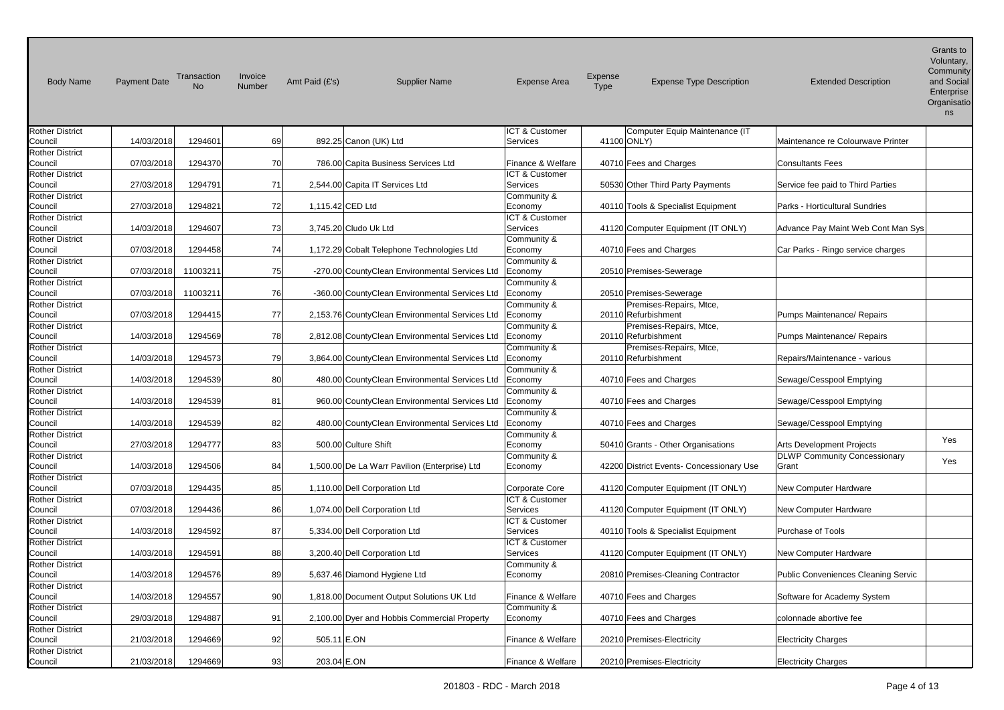| <b>Body Name</b>                  | <b>Payment Date</b> | Transaction<br><b>No</b> | Invoice<br>Number | Amt Paid (£'s)        | <b>Supplier Name</b>                            | <b>Expense Area</b>     | Expense<br><b>Type</b> | <b>Expense Type Description</b>          | <b>Extended Description</b>                | Grants to<br>Voluntary,<br>Community<br>and Social<br>Enterprise<br>Organisatio<br>ns |
|-----------------------------------|---------------------|--------------------------|-------------------|-----------------------|-------------------------------------------------|-------------------------|------------------------|------------------------------------------|--------------------------------------------|---------------------------------------------------------------------------------------|
| <b>Rother District</b>            |                     |                          |                   |                       |                                                 | ICT & Customer          |                        | Computer Equip Maintenance (IT           |                                            |                                                                                       |
| Council                           | 14/03/2018          | 1294601                  | 69                |                       | 892.25 Canon (UK) Ltd                           | Services                | 41100 ONLY)            |                                          | Maintenance re Colourwave Printer          |                                                                                       |
| <b>Rother District</b><br>Council | 07/03/2018          | 1294370                  | 70                |                       | 786.00 Capita Business Services Ltd             | Finance & Welfare       |                        | 40710 Fees and Charges                   | <b>Consultants Fees</b>                    |                                                                                       |
| <b>Rother District</b>            |                     |                          |                   |                       |                                                 | ICT & Customer          |                        |                                          |                                            |                                                                                       |
| Council                           | 27/03/2018          | 1294791                  | 71                |                       | 2,544.00 Capita IT Services Ltd                 | Services                |                        | 50530 Other Third Party Payments         | Service fee paid to Third Parties          |                                                                                       |
| <b>Rother District</b>            |                     |                          |                   |                       |                                                 | Community &             |                        |                                          |                                            |                                                                                       |
| Council                           | 27/03/2018          | 1294821                  | 72                | 1,115.42 CED Ltd      |                                                 | Economy                 |                        | 40110 Tools & Specialist Equipment       | Parks - Horticultural Sundries             |                                                                                       |
| <b>Rother District</b>            |                     |                          |                   |                       |                                                 | ICT & Customer          |                        |                                          |                                            |                                                                                       |
| Council                           | 14/03/2018          | 1294607                  | 73                | 3,745.20 Cludo Uk Ltd |                                                 | Services                |                        | 41120 Computer Equipment (IT ONLY)       | Advance Pay Maint Web Cont Man Sys         |                                                                                       |
| <b>Rother District</b>            |                     |                          |                   |                       |                                                 | Community &             |                        |                                          |                                            |                                                                                       |
| Council                           | 07/03/2018          | 1294458                  | 74                |                       | 1,172.29 Cobalt Telephone Technologies Ltd      | Economy                 |                        | 40710 Fees and Charges                   | Car Parks - Ringo service charges          |                                                                                       |
| <b>Rother District</b>            |                     |                          |                   |                       |                                                 | Community &             |                        |                                          |                                            |                                                                                       |
| Council                           | 07/03/2018          | 11003211                 | 75                |                       | -270.00 CountyClean Environmental Services Ltd  | Economy                 |                        | 20510 Premises-Sewerage                  |                                            |                                                                                       |
| <b>Rother District</b>            | 07/03/2018          | 11003211                 | 76                |                       | -360.00 CountyClean Environmental Services Ltd  | Community &             |                        | 20510 Premises-Sewerage                  |                                            |                                                                                       |
| Council<br><b>Rother District</b> |                     |                          |                   |                       |                                                 | Economy<br>Community &  |                        | Premises-Repairs, Mtce,                  |                                            |                                                                                       |
| Council                           | 07/03/2018          | 1294415                  | 77                |                       | 2,153.76 CountyClean Environmental Services Ltd | Economy                 |                        | 20110 Refurbishment                      | Pumps Maintenance/ Repairs                 |                                                                                       |
| <b>Rother District</b>            |                     |                          |                   |                       |                                                 | Community &             |                        | Premises-Repairs, Mtce,                  |                                            |                                                                                       |
| Council                           | 14/03/2018          | 1294569                  | 78                |                       | 2,812.08 CountyClean Environmental Services Ltd | Economy                 |                        | 20110 Refurbishment                      | Pumps Maintenance/ Repairs                 |                                                                                       |
| <b>Rother District</b>            |                     |                          |                   |                       |                                                 | Community &             |                        | Premises-Repairs, Mtce,                  |                                            |                                                                                       |
| Council                           | 14/03/2018          | 1294573                  | 79                |                       | 3,864.00 CountyClean Environmental Services Ltd | Economy                 |                        | 20110 Refurbishment                      | Repairs/Maintenance - various              |                                                                                       |
| <b>Rother District</b>            |                     |                          |                   |                       |                                                 | Community &             |                        |                                          |                                            |                                                                                       |
| Council                           | 14/03/2018          | 1294539                  | 80                |                       | 480.00 CountyClean Environmental Services Ltd   | Economy                 |                        | 40710 Fees and Charges                   | Sewage/Cesspool Emptying                   |                                                                                       |
| <b>Rother District</b>            |                     |                          |                   |                       |                                                 | Community &             |                        |                                          |                                            |                                                                                       |
| Council                           | 14/03/2018          | 1294539                  | 81                |                       | 960.00 CountyClean Environmental Services Ltd   | Economy                 |                        | 40710 Fees and Charges                   | Sewage/Cesspool Emptying                   |                                                                                       |
| <b>Rother District</b>            |                     |                          |                   |                       |                                                 | Community &             |                        |                                          |                                            |                                                                                       |
| Council<br><b>Rother District</b> | 14/03/2018          | 1294539                  | 82                |                       | 480.00 CountyClean Environmental Services Ltd   | Economy                 |                        | 40710 Fees and Charges                   | Sewage/Cesspool Emptying                   |                                                                                       |
| Council                           | 27/03/2018          | 1294777                  | 83                | 500.00 Culture Shift  |                                                 | Community &<br>Economy  |                        | 50410 Grants - Other Organisations       | <b>Arts Development Projects</b>           | Yes                                                                                   |
| Rother District                   |                     |                          |                   |                       |                                                 | Community &             |                        |                                          | <b>DLWP Community Concessionary</b>        |                                                                                       |
| Council                           | 14/03/2018          | 1294506                  | 84                |                       | 1,500.00 De La Warr Pavilion (Enterprise) Ltd   | Economy                 |                        | 42200 District Events- Concessionary Use | Grant                                      | Yes                                                                                   |
| <b>Rother District</b>            |                     |                          |                   |                       |                                                 |                         |                        |                                          |                                            |                                                                                       |
| Council                           | 07/03/2018          | 1294435                  | 85                |                       | 1,110.00 Dell Corporation Ltd                   | Corporate Core          |                        | 41120 Computer Equipment (IT ONLY)       | New Computer Hardware                      |                                                                                       |
| <b>Rother District</b>            |                     |                          |                   |                       |                                                 | ICT & Customer          |                        |                                          |                                            |                                                                                       |
| Council                           | 07/03/2018          | 1294436                  | 86                |                       | 1,074.00 Dell Corporation Ltd                   | Services                |                        | 41120 Computer Equipment (IT ONLY)       | New Computer Hardware                      |                                                                                       |
| <b>Rother District</b>            |                     |                          |                   |                       |                                                 | ICT & Customer          |                        |                                          |                                            |                                                                                       |
| Council                           | 14/03/2018          | 1294592                  | 87                |                       | 5,334.00 Dell Corporation Ltd                   | Services                |                        | 40110 Tools & Specialist Equipment       | Purchase of Tools                          |                                                                                       |
| <b>Rother District</b>            |                     |                          |                   |                       |                                                 | ICT & Customer          |                        |                                          |                                            |                                                                                       |
| Council<br><b>Rother District</b> | 14/03/2018          | 1294591                  | 88                |                       | 3,200.40 Dell Corporation Ltd                   | Services<br>Community & |                        | 41120 Computer Equipment (IT ONLY)       | New Computer Hardware                      |                                                                                       |
| Council                           | 14/03/2018          | 1294576                  | 89                |                       | 5,637.46 Diamond Hygiene Ltd                    | Economy                 |                        | 20810 Premises-Cleaning Contractor       | <b>Public Conveniences Cleaning Servic</b> |                                                                                       |
| <b>Rother District</b>            |                     |                          |                   |                       |                                                 |                         |                        |                                          |                                            |                                                                                       |
| Council                           | 14/03/2018          | 1294557                  | 90                |                       | 1,818.00 Document Output Solutions UK Ltd       | Finance & Welfare       |                        | 40710 Fees and Charges                   | Software for Academy System                |                                                                                       |
| <b>Rother District</b>            |                     |                          |                   |                       |                                                 | Community &             |                        |                                          |                                            |                                                                                       |
| Council                           | 29/03/2018          | 1294887                  | 91                |                       | 2,100.00 Dyer and Hobbis Commercial Property    | Economy                 |                        | 40710 Fees and Charges                   | colonnade abortive fee                     |                                                                                       |
| Rother District                   |                     |                          |                   |                       |                                                 |                         |                        |                                          |                                            |                                                                                       |
| Council                           | 21/03/2018          | 1294669                  | 92                | 505.11 E.ON           |                                                 | Finance & Welfare       |                        | 20210 Premises-Electricity               | <b>Electricity Charges</b>                 |                                                                                       |
| <b>Rother District</b>            |                     |                          |                   |                       |                                                 |                         |                        |                                          |                                            |                                                                                       |
| Council                           | 21/03/2018          | 1294669                  | 93                | 203.04 E.ON           |                                                 | Finance & Welfare       |                        | 20210 Premises-Electricity               | <b>Electricity Charges</b>                 |                                                                                       |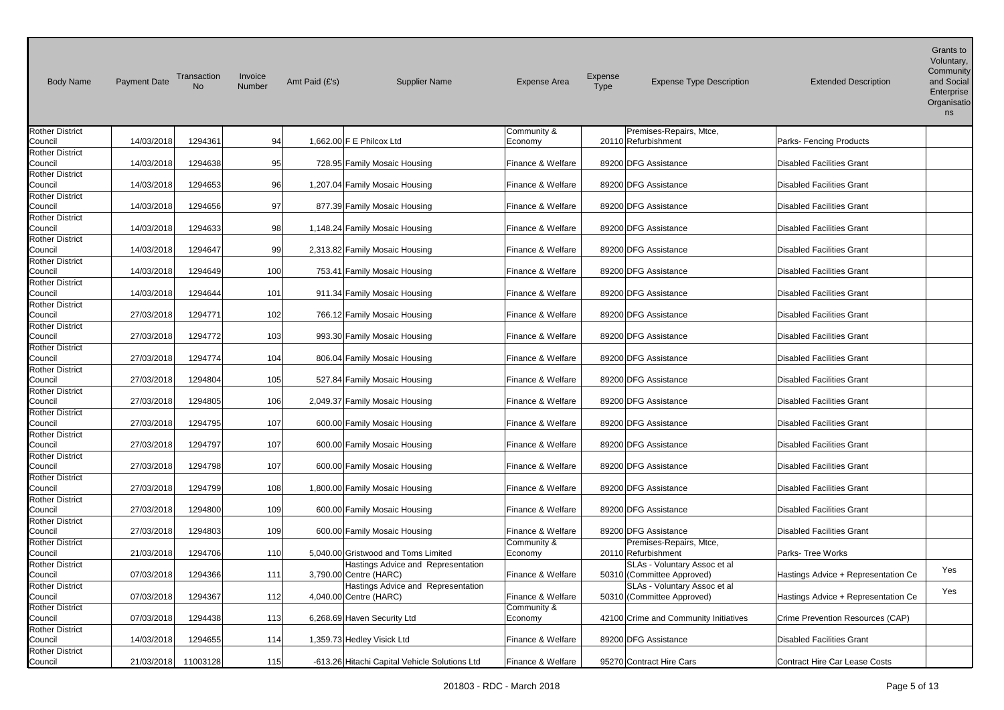| <b>Body Name</b>                  | <b>Payment Date</b> | Transaction<br><b>No</b> | Invoice<br>Number | Amt Paid (£'s)<br><b>Supplier Name</b>        | <b>Expense Area</b>    | Expense<br><b>Expense Type Description</b><br><b>Type</b> | <b>Extended Description</b>          | Grants to<br>Voluntary,<br>Community<br>and Social<br>Enterprise<br>Organisatio<br>ns |
|-----------------------------------|---------------------|--------------------------|-------------------|-----------------------------------------------|------------------------|-----------------------------------------------------------|--------------------------------------|---------------------------------------------------------------------------------------|
| <b>Rother District</b>            |                     |                          |                   |                                               | Community &            | Premises-Repairs, Mtce,                                   |                                      |                                                                                       |
| Council                           | 14/03/2018          | 1294361                  | 94                | 1,662.00 F E Philcox Ltd                      | Economy                | 20110 Refurbishment                                       | Parks- Fencing Products              |                                                                                       |
| <b>Rother District</b><br>Council | 14/03/2018          | 1294638                  | 95                | 728.95 Family Mosaic Housing                  | Finance & Welfare      | 89200 DFG Assistance                                      | <b>Disabled Facilities Grant</b>     |                                                                                       |
| <b>Rother District</b>            |                     |                          |                   |                                               |                        |                                                           |                                      |                                                                                       |
| Council                           | 14/03/2018          | 1294653                  | 96                | 1,207.04 Family Mosaic Housing                | Finance & Welfare      | 89200 DFG Assistance                                      | <b>Disabled Facilities Grant</b>     |                                                                                       |
| <b>Rother District</b>            |                     |                          |                   |                                               |                        |                                                           |                                      |                                                                                       |
| Council                           | 14/03/2018          | 1294656                  | 97                | 877.39 Family Mosaic Housing                  | Finance & Welfare      | 89200 DFG Assistance                                      | <b>Disabled Facilities Grant</b>     |                                                                                       |
| <b>Rother District</b>            |                     |                          |                   |                                               |                        |                                                           |                                      |                                                                                       |
| Council                           | 14/03/2018          | 1294633                  | 98                | 1,148.24 Family Mosaic Housing                | Finance & Welfare      | 89200 DFG Assistance                                      | <b>Disabled Facilities Grant</b>     |                                                                                       |
| <b>Rother District</b>            |                     |                          | 99                |                                               |                        | 89200 DFG Assistance                                      | <b>Disabled Facilities Grant</b>     |                                                                                       |
| Council<br><b>Rother District</b> | 14/03/2018          | 1294647                  |                   | 2,313.82 Family Mosaic Housing                | Finance & Welfare      |                                                           |                                      |                                                                                       |
| Council                           | 14/03/2018          | 1294649                  | 100               | 753.41 Family Mosaic Housing                  | Finance & Welfare      | 89200 DFG Assistance                                      | <b>Disabled Facilities Grant</b>     |                                                                                       |
| <b>Rother District</b>            |                     |                          |                   |                                               |                        |                                                           |                                      |                                                                                       |
| Council                           | 14/03/2018          | 1294644                  | 101               | 911.34 Family Mosaic Housing                  | Finance & Welfare      | 89200 DFG Assistance                                      | <b>Disabled Facilities Grant</b>     |                                                                                       |
| <b>Rother District</b>            |                     |                          |                   |                                               |                        |                                                           |                                      |                                                                                       |
| Council                           | 27/03/2018          | 1294771                  | 102               | 766.12 Family Mosaic Housing                  | Finance & Welfare      | 89200 DFG Assistance                                      | <b>Disabled Facilities Grant</b>     |                                                                                       |
| <b>Rother District</b>            |                     |                          |                   |                                               |                        |                                                           |                                      |                                                                                       |
| Council                           | 27/03/2018          | 1294772                  | 103               | 993.30 Family Mosaic Housing                  | Finance & Welfare      | 89200 DFG Assistance                                      | <b>Disabled Facilities Grant</b>     |                                                                                       |
| <b>Rother District</b><br>Council | 27/03/2018          | 1294774                  | 104               | 806.04 Family Mosaic Housing                  | Finance & Welfare      | 89200 DFG Assistance                                      | <b>Disabled Facilities Grant</b>     |                                                                                       |
| <b>Rother District</b>            |                     |                          |                   |                                               |                        |                                                           |                                      |                                                                                       |
| Council                           | 27/03/2018          | 1294804                  | 105               | 527.84 Family Mosaic Housing                  | Finance & Welfare      | 89200 DFG Assistance                                      | <b>Disabled Facilities Grant</b>     |                                                                                       |
| <b>Rother District</b>            |                     |                          |                   |                                               |                        |                                                           |                                      |                                                                                       |
| Council                           | 27/03/2018          | 1294805                  | 106               | 2,049.37 Family Mosaic Housing                | Finance & Welfare      | 89200 DFG Assistance                                      | <b>Disabled Facilities Grant</b>     |                                                                                       |
| <b>Rother District</b>            |                     |                          |                   |                                               |                        |                                                           |                                      |                                                                                       |
| Council                           | 27/03/2018          | 1294795                  | 107               | 600.00 Family Mosaic Housing                  | Finance & Welfare      | 89200 DFG Assistance                                      | <b>Disabled Facilities Grant</b>     |                                                                                       |
| <b>Rother District</b>            |                     |                          |                   |                                               |                        |                                                           |                                      |                                                                                       |
| Council<br>Rother District        | 27/03/2018          | 1294797                  | 107               | 600.00 Family Mosaic Housing                  | Finance & Welfare      | 89200 DFG Assistance                                      | <b>Disabled Facilities Grant</b>     |                                                                                       |
| Council                           | 27/03/2018          | 1294798                  | 107               | 600.00 Family Mosaic Housing                  | Finance & Welfare      | 89200 DFG Assistance                                      | <b>Disabled Facilities Grant</b>     |                                                                                       |
| <b>Rother District</b>            |                     |                          |                   |                                               |                        |                                                           |                                      |                                                                                       |
| Council                           | 27/03/2018          | 1294799                  | 108               | 1,800.00 Family Mosaic Housing                | Finance & Welfare      | 89200 DFG Assistance                                      | <b>Disabled Facilities Grant</b>     |                                                                                       |
| <b>Rother District</b>            |                     |                          |                   |                                               |                        |                                                           |                                      |                                                                                       |
| Council                           | 27/03/2018          | 1294800                  | 109               | 600.00 Family Mosaic Housing                  | Finance & Welfare      | 89200 DFG Assistance                                      | <b>Disabled Facilities Grant</b>     |                                                                                       |
| <b>Rother District</b>            |                     |                          |                   |                                               |                        |                                                           |                                      |                                                                                       |
| Council                           | 27/03/2018          | 1294803                  | 109               | 600.00 Family Mosaic Housing                  | Finance & Welfare      | 89200 DFG Assistance                                      | <b>Disabled Facilities Grant</b>     |                                                                                       |
| <b>Rother District</b><br>Council | 21/03/2018          | 1294706                  | 110               | 5,040.00 Gristwood and Toms Limited           | Community &<br>Economy | Premises-Repairs, Mtce,<br>20110 Refurbishment            | Parks- Tree Works                    |                                                                                       |
| <b>Rother District</b>            |                     |                          |                   | Hastings Advice and Representation            |                        | SLAs - Voluntary Assoc et al                              |                                      |                                                                                       |
| Council                           | 07/03/2018          | 1294366                  | 111               | 3,790.00 Centre (HARC)                        | Finance & Welfare      | 50310 (Committee Approved)                                | Hastings Advice + Representation Ce  | Yes                                                                                   |
| <b>Rother District</b>            |                     |                          |                   | Hastings Advice and Representation            |                        | SLAs - Voluntary Assoc et al                              |                                      |                                                                                       |
| Council                           | 07/03/2018          | 1294367                  | 112               | 4,040.00 Centre (HARC)                        | Finance & Welfare      | 50310 (Committee Approved)                                | Hastings Advice + Representation Ce  | Yes                                                                                   |
| <b>Rother District</b>            |                     |                          |                   |                                               | Community &            |                                                           |                                      |                                                                                       |
| Council                           | 07/03/2018          | 1294438                  | 113               | 6,268.69 Haven Security Ltd                   | Economy                | 42100 Crime and Community Initiatives                     | Crime Prevention Resources (CAP)     |                                                                                       |
| Rother District                   |                     |                          | 114               |                                               | Finance & Welfare      | 89200 DFG Assistance                                      | <b>Disabled Facilities Grant</b>     |                                                                                       |
| Council<br><b>Rother District</b> | 14/03/2018          | 1294655                  |                   | 1,359.73 Hedley Visick Ltd                    |                        |                                                           |                                      |                                                                                       |
| Council                           | 21/03/2018          | 11003128                 | 115               | -613.26 Hitachi Capital Vehicle Solutions Ltd | Finance & Welfare      | 95270 Contract Hire Cars                                  | <b>Contract Hire Car Lease Costs</b> |                                                                                       |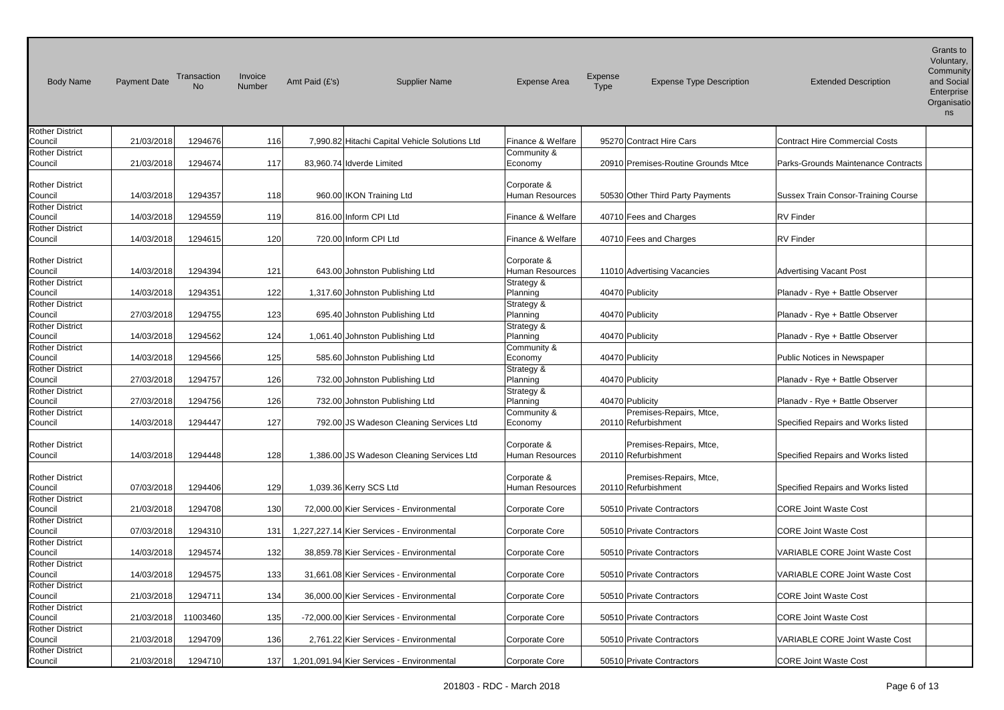| <b>Body Name</b>                  | <b>Payment Date</b> | Transaction<br>No | Invoice<br>Number | Amt Paid (£'s)            | <b>Supplier Name</b>                           | <b>Expense Area</b>            | Expense<br>Type | <b>Expense Type Description</b>                | <b>Extended Description</b>           | Grants to<br>Voluntary,<br>Community<br>and Social<br>Enterprise<br>Organisatio<br>ns |
|-----------------------------------|---------------------|-------------------|-------------------|---------------------------|------------------------------------------------|--------------------------------|-----------------|------------------------------------------------|---------------------------------------|---------------------------------------------------------------------------------------|
| <b>Rother District</b>            |                     |                   |                   |                           |                                                |                                |                 |                                                |                                       |                                                                                       |
| Council                           | 21/03/2018          | 1294676           | 116               |                           | 7,990.82 Hitachi Capital Vehicle Solutions Ltd | Finance & Welfare              |                 | 95270 Contract Hire Cars                       | <b>Contract Hire Commercial Costs</b> |                                                                                       |
| <b>Rother District</b>            |                     |                   |                   |                           |                                                | Community &                    |                 |                                                |                                       |                                                                                       |
| Council                           | 21/03/2018          | 1294674           | 117               | 83,960.74 Idverde Limited |                                                | Economy                        |                 | 20910 Premises-Routine Grounds Mtce            | Parks-Grounds Maintenance Contracts   |                                                                                       |
|                                   |                     |                   |                   |                           |                                                |                                |                 |                                                |                                       |                                                                                       |
| <b>Rother District</b>            | 14/03/2018          | 1294357           | 118               |                           | 960.00 IKON Training Ltd                       | Corporate &<br>Human Resources |                 |                                                | Sussex Train Consor-Training Course   |                                                                                       |
| Council<br><b>Rother District</b> |                     |                   |                   |                           |                                                |                                |                 | 50530 Other Third Party Payments               |                                       |                                                                                       |
| Council                           | 14/03/2018          | 1294559           | 119               |                           | 816.00 Inform CPI Ltd                          | Finance & Welfare              |                 | 40710 Fees and Charges                         | <b>RV</b> Finder                      |                                                                                       |
| <b>Rother District</b>            |                     |                   |                   |                           |                                                |                                |                 |                                                |                                       |                                                                                       |
| Council                           | 14/03/2018          | 1294615           | 120               |                           | 720.00 Inform CPI Ltd                          | Finance & Welfare              |                 | 40710 Fees and Charges                         | <b>RV</b> Finder                      |                                                                                       |
|                                   |                     |                   |                   |                           |                                                |                                |                 |                                                |                                       |                                                                                       |
| <b>Rother District</b>            |                     |                   |                   |                           |                                                | Corporate &                    |                 |                                                |                                       |                                                                                       |
| Council                           | 14/03/2018          | 1294394           | 121               |                           | 643.00 Johnston Publishing Ltd                 | Human Resources                |                 | 11010 Advertising Vacancies                    | <b>Advertising Vacant Post</b>        |                                                                                       |
| <b>Rother District</b>            |                     |                   |                   |                           |                                                | Strategy &                     |                 |                                                |                                       |                                                                                       |
| Council                           | 14/03/2018          | 1294351           | 122               |                           | 1,317.60 Johnston Publishing Ltd               | Planning                       |                 | 40470 Publicity                                | Planady - Rye + Battle Observer       |                                                                                       |
| <b>Rother District</b>            |                     |                   |                   |                           |                                                | Strategy &                     |                 |                                                |                                       |                                                                                       |
| Council                           | 27/03/2018          | 1294755           | 123               |                           | 695.40 Johnston Publishing Ltd                 | Planning                       |                 | 40470 Publicity                                | Planady - Rye + Battle Observer       |                                                                                       |
| <b>Rother District</b>            |                     |                   |                   |                           |                                                | Strategy &                     |                 |                                                |                                       |                                                                                       |
| Council                           | 14/03/2018          | 1294562           | 124               |                           | 1,061.40 Johnston Publishing Ltd               | Planning                       |                 | 40470 Publicity                                | Planadv - Rye + Battle Observer       |                                                                                       |
| <b>Rother District</b>            |                     |                   |                   |                           |                                                | Community &                    |                 |                                                |                                       |                                                                                       |
| Council                           | 14/03/2018          | 1294566           | 125               |                           | 585.60 Johnston Publishing Ltd                 | Economy                        |                 | 40470 Publicity                                | Public Notices in Newspaper           |                                                                                       |
| <b>Rother District</b>            |                     |                   |                   |                           |                                                | Strategy &                     |                 |                                                |                                       |                                                                                       |
| Council                           | 27/03/2018          | 1294757           | 126               |                           | 732.00 Johnston Publishing Ltd                 | Planning                       |                 | 40470 Publicity                                | Planadv - Rye + Battle Observer       |                                                                                       |
| <b>Rother District</b>            |                     |                   |                   |                           |                                                | Strategy &                     |                 |                                                |                                       |                                                                                       |
| Council                           | 27/03/2018          | 1294756           | 126               |                           | 732.00 Johnston Publishing Ltd                 | Planning                       |                 | 40470 Publicity                                | Planady - Rye + Battle Observer       |                                                                                       |
| <b>Rother District</b><br>Council | 14/03/2018          | 1294447           | 127               |                           | 792.00 JS Wadeson Cleaning Services Ltd        | Community &<br>Economy         |                 | Premises-Repairs, Mtce,<br>20110 Refurbishment | Specified Repairs and Works listed    |                                                                                       |
|                                   |                     |                   |                   |                           |                                                |                                |                 |                                                |                                       |                                                                                       |
| <b>Rother District</b><br>Council | 14/03/2018          | 1294448           | 128               |                           | 1,386.00 JS Wadeson Cleaning Services Ltd      | Corporate &<br>Human Resources |                 | Premises-Repairs, Mtce,<br>20110 Refurbishment | Specified Repairs and Works listed    |                                                                                       |
| <b>Rother District</b><br>Council | 07/03/2018          | 1294406           | 129               | 1,039.36 Kerry SCS Ltd    |                                                | Corporate &<br>Human Resources |                 | Premises-Repairs, Mtce,<br>20110 Refurbishment | Specified Repairs and Works listed    |                                                                                       |
| <b>Rother District</b>            |                     |                   |                   |                           |                                                |                                |                 |                                                |                                       |                                                                                       |
| Council<br><b>Rother District</b> | 21/03/2018          | 1294708           | 130               |                           | 72,000.00 Kier Services - Environmental        | Corporate Core                 |                 | 50510 Private Contractors                      | <b>CORE Joint Waste Cost</b>          |                                                                                       |
| Council                           | 07/03/2018          | 1294310           | 131               |                           | 1,227,227.14 Kier Services - Environmental     | Corporate Core                 |                 | 50510 Private Contractors                      | <b>CORE Joint Waste Cost</b>          |                                                                                       |
| <b>Rother District</b>            |                     |                   |                   |                           |                                                |                                |                 |                                                |                                       |                                                                                       |
| Council                           | 14/03/2018          | 1294574           | 132               |                           | 38,859.78 Kier Services - Environmental        | Corporate Core                 |                 | 50510 Private Contractors                      | <b>VARIABLE CORE Joint Waste Cost</b> |                                                                                       |
| <b>Rother District</b>            |                     |                   |                   |                           |                                                |                                |                 |                                                |                                       |                                                                                       |
| Council                           | 14/03/2018          | 1294575           | 133               |                           | 31,661.08 Kier Services - Environmental        | Corporate Core                 |                 | 50510 Private Contractors                      | VARIABLE CORE Joint Waste Cost        |                                                                                       |
| <b>Rother District</b>            |                     |                   |                   |                           |                                                |                                |                 |                                                |                                       |                                                                                       |
| Council                           | 21/03/2018          | 1294711           | 134               |                           | 36,000.00 Kier Services - Environmental        | Corporate Core                 |                 | 50510 Private Contractors                      | <b>CORE Joint Waste Cost</b>          |                                                                                       |
| <b>Rother District</b>            |                     |                   |                   |                           |                                                |                                |                 |                                                |                                       |                                                                                       |
| Council                           | 21/03/2018          | 11003460          | 135               |                           | -72,000.00 Kier Services - Environmental       | Corporate Core                 |                 | 50510 Private Contractors                      | <b>CORE Joint Waste Cost</b>          |                                                                                       |
| Rother District                   |                     |                   |                   |                           |                                                |                                |                 |                                                |                                       |                                                                                       |
| Council                           | 21/03/2018          | 1294709           | 136               |                           | 2,761.22 Kier Services - Environmental         | Corporate Core                 |                 | 50510 Private Contractors                      | VARIABLE CORE Joint Waste Cost        |                                                                                       |
| <b>Rother District</b><br>Council | 21/03/2018          | 1294710           | 137               |                           | 1,201,091.94 Kier Services - Environmental     | Corporate Core                 |                 | 50510 Private Contractors                      | <b>CORE Joint Waste Cost</b>          |                                                                                       |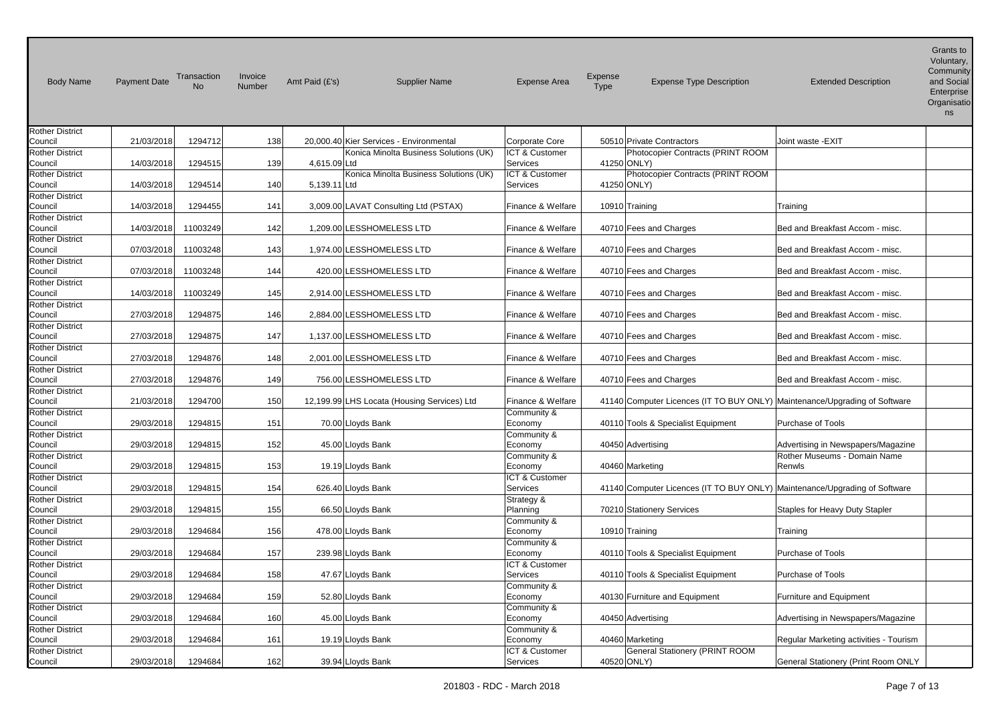| <b>Body Name</b>                  | Payment Date | Transaction<br>No | Invoice<br>Number | Amt Paid (£'s) | <b>Supplier Name</b>                        | <b>Expense Area</b>       | Expense<br>Type | <b>Expense Type Description</b>                                            | <b>Extended Description</b>            | Grants to<br>Voluntary,<br>Community<br>and Social<br>Enterprise<br>Organisatio<br>ns |
|-----------------------------------|--------------|-------------------|-------------------|----------------|---------------------------------------------|---------------------------|-----------------|----------------------------------------------------------------------------|----------------------------------------|---------------------------------------------------------------------------------------|
| <b>Rother District</b><br>Council | 21/03/2018   | 1294712           | 138               |                | 20,000.40 Kier Services - Environmental     | Corporate Core            |                 | 50510 Private Contractors                                                  | Joint waste -EXIT                      |                                                                                       |
| <b>Rother District</b>            |              |                   |                   |                | Konica Minolta Business Solutions (UK)      | ICT & Customer            |                 | Photocopier Contracts (PRINT ROOM                                          |                                        |                                                                                       |
| Council                           | 14/03/2018   | 1294515           | 139               | 4,615.09 Ltd   |                                             | <b>Services</b>           |                 | 41250 ONLY)                                                                |                                        |                                                                                       |
| <b>Rother District</b>            |              |                   |                   |                | Konica Minolta Business Solutions (UK)      | ICT & Customer            |                 | Photocopier Contracts (PRINT ROOM                                          |                                        |                                                                                       |
| Council                           | 14/03/2018   | 1294514           | 140               | 5,139.11 Ltd   |                                             | <b>Services</b>           |                 | 41250 ONLY)                                                                |                                        |                                                                                       |
| <b>Rother District</b>            |              |                   |                   |                |                                             |                           |                 |                                                                            |                                        |                                                                                       |
| Council                           | 14/03/2018   | 1294455           | 141               |                | 3,009.00 LAVAT Consulting Ltd (PSTAX)       | Finance & Welfare         |                 | 10910 Training                                                             | Training                               |                                                                                       |
| <b>Rother District</b><br>Council | 14/03/2018   | 11003249          | 142               |                | 1,209.00 LESSHOMELESS LTD                   | Finance & Welfare         |                 | 40710 Fees and Charges                                                     | Bed and Breakfast Accom - misc.        |                                                                                       |
| <b>Rother District</b>            |              |                   |                   |                |                                             |                           |                 |                                                                            |                                        |                                                                                       |
| Council                           | 07/03/2018   | 11003248          | 143               |                | 1,974.00 LESSHOMELESS LTD                   | Finance & Welfare         |                 | 40710 Fees and Charges                                                     | Bed and Breakfast Accom - misc.        |                                                                                       |
| <b>Rother District</b>            |              |                   |                   |                |                                             |                           |                 |                                                                            |                                        |                                                                                       |
| Council                           | 07/03/2018   | 11003248          | 144               |                | 420.00 LESSHOMELESS LTD                     | Finance & Welfare         |                 | 40710 Fees and Charges                                                     | Bed and Breakfast Accom - misc.        |                                                                                       |
| <b>Rother District</b>            |              |                   |                   |                |                                             |                           |                 |                                                                            |                                        |                                                                                       |
| Council                           | 14/03/2018   | 11003249          | 145               |                | 2,914.00 LESSHOMELESS LTD                   | Finance & Welfare         |                 | 40710 Fees and Charges                                                     | Bed and Breakfast Accom - misc.        |                                                                                       |
| <b>Rother District</b><br>Council | 27/03/2018   | 1294875           | 146               |                | 2,884.00 LESSHOMELESS LTD                   | Finance & Welfare         |                 | 40710 Fees and Charges                                                     | Bed and Breakfast Accom - misc.        |                                                                                       |
| <b>Rother District</b>            |              |                   |                   |                |                                             |                           |                 |                                                                            |                                        |                                                                                       |
| Council                           | 27/03/2018   | 1294875           | 147               |                | 1,137.00 LESSHOMELESS LTD                   | Finance & Welfare         |                 | 40710 Fees and Charges                                                     | Bed and Breakfast Accom - misc.        |                                                                                       |
| <b>Rother District</b>            |              |                   |                   |                |                                             |                           |                 |                                                                            |                                        |                                                                                       |
| Council                           | 27/03/2018   | 1294876           | 148               |                | 2,001.00 LESSHOMELESS LTD                   | Finance & Welfare         |                 | 40710 Fees and Charges                                                     | Bed and Breakfast Accom - misc.        |                                                                                       |
| <b>Rother District</b>            |              |                   |                   |                |                                             |                           |                 |                                                                            |                                        |                                                                                       |
| Council                           | 27/03/2018   | 1294876           | 149               |                | 756.00 LESSHOMELESS LTD                     | Finance & Welfare         |                 | 40710 Fees and Charges                                                     | Bed and Breakfast Accom - misc.        |                                                                                       |
| <b>Rother District</b><br>Council | 21/03/2018   | 1294700           | 150               |                | 12,199.99 LHS Locata (Housing Services) Ltd | Finance & Welfare         |                 | 41140 Computer Licences (IT TO BUY ONLY) Maintenance/Upgrading of Software |                                        |                                                                                       |
| <b>Rother District</b>            |              |                   |                   |                |                                             | Community &               |                 |                                                                            |                                        |                                                                                       |
| Council                           | 29/03/2018   | 1294815           | 151               |                | 70.00 Lloyds Bank                           | Economy                   |                 | 40110 Tools & Specialist Equipment                                         | Purchase of Tools                      |                                                                                       |
| <b>Rother District</b>            |              |                   |                   |                |                                             | Community &               |                 |                                                                            |                                        |                                                                                       |
| Council                           | 29/03/2018   | 1294815           | 152               |                | 45.00 Lloyds Bank                           | Economy                   |                 | 40450 Advertising                                                          | Advertising in Newspapers/Magazine     |                                                                                       |
| <b>Rother District</b>            |              |                   |                   |                |                                             | Community &               |                 |                                                                            | Rother Museums - Domain Name           |                                                                                       |
| Council<br><b>Rother District</b> | 29/03/2018   | 1294815           | 153               |                | 19.19 Lloyds Bank                           | Economy<br>ICT & Customer |                 | 40460 Marketing                                                            | Renwls                                 |                                                                                       |
| Council                           | 29/03/2018   | 1294815           | 154               |                | 626.40 Lloyds Bank                          | Services                  |                 | 41140 Computer Licences (IT TO BUY ONLY) Maintenance/Upgrading of Software |                                        |                                                                                       |
| <b>Rother District</b>            |              |                   |                   |                |                                             | Strategy &                |                 |                                                                            |                                        |                                                                                       |
| Council                           | 29/03/2018   | 1294815           | 155               |                | 66.50 Lloyds Bank                           | Planning                  |                 | 70210 Stationery Services                                                  | Staples for Heavy Duty Stapler         |                                                                                       |
| <b>Rother District</b>            |              |                   |                   |                |                                             | Community &               |                 |                                                                            |                                        |                                                                                       |
| Council                           | 29/03/2018   | 1294684           | 156               |                | 478.00 Lloyds Bank                          | Economy                   |                 | 10910 Training                                                             | Training                               |                                                                                       |
| <b>Rother District</b>            |              | 1294684           |                   |                |                                             | Community &               |                 |                                                                            | Purchase of Tools                      |                                                                                       |
| Council<br><b>Rother District</b> | 29/03/2018   |                   | 157               |                | 239.98 Lloyds Bank                          | Economy<br>ICT & Customer |                 | 40110 Tools & Specialist Equipment                                         |                                        |                                                                                       |
| Council                           | 29/03/2018   | 1294684           | 158               |                | 47.67 Lloyds Bank                           | Services                  |                 | 40110 Tools & Specialist Equipment                                         | <b>Purchase of Tools</b>               |                                                                                       |
| <b>Rother District</b>            |              |                   |                   |                |                                             | Community &               |                 |                                                                            |                                        |                                                                                       |
| Council                           | 29/03/2018   | 1294684           | 159               |                | 52.80 Lloyds Bank                           | Economy                   |                 | 40130 Furniture and Equipment                                              | Furniture and Equipment                |                                                                                       |
| <b>Rother District</b>            |              |                   |                   |                |                                             | Community &               |                 |                                                                            |                                        |                                                                                       |
| Council                           | 29/03/2018   | 1294684           | 160               |                | 45.00 Lloyds Bank                           | Economy                   |                 | 40450 Advertising                                                          | Advertising in Newspapers/Magazine     |                                                                                       |
| <b>Rother District</b>            |              |                   |                   |                |                                             | Community &               |                 |                                                                            |                                        |                                                                                       |
| Council<br><b>Rother District</b> | 29/03/2018   | 1294684           | 161               |                | 19.19 Lloyds Bank                           | Economy<br>ICT & Customer |                 | 40460 Marketing<br>General Stationery (PRINT ROOM                          | Regular Marketing activities - Tourism |                                                                                       |
| Council                           | 29/03/2018   | 1294684           | 162               |                | 39.94 Lloyds Bank                           | Services                  |                 | 40520 ONLY)                                                                | General Stationery (Print Room ONLY    |                                                                                       |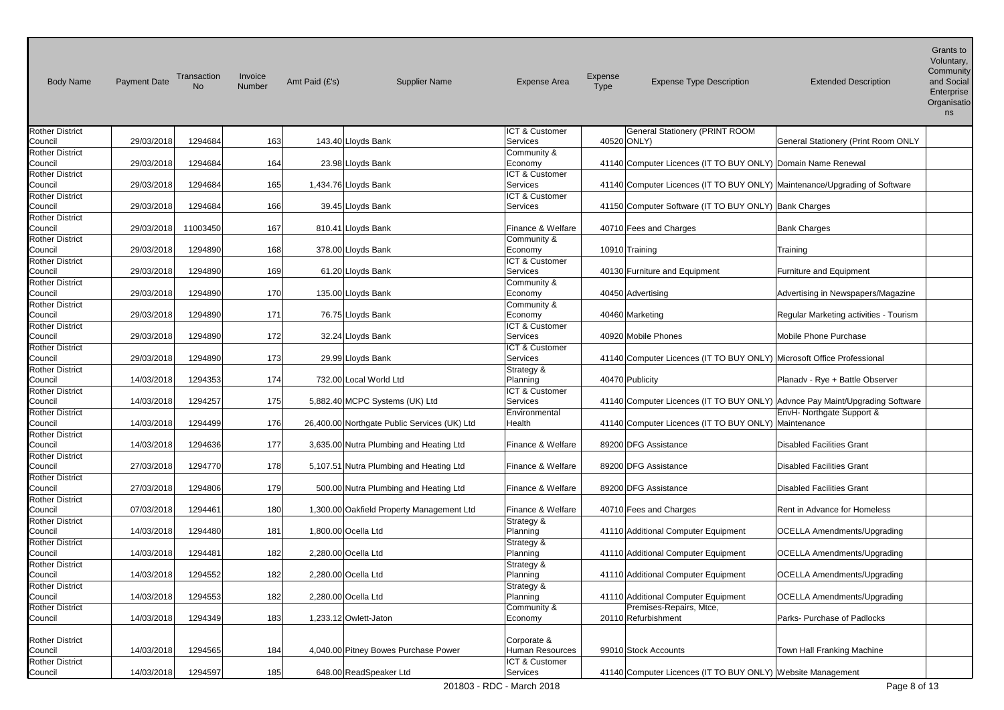| <b>Body Name</b>                  | <b>Payment Date</b> | Transaction<br><b>No</b> | Invoice<br>Number | Amt Paid (£'s) | <b>Supplier Name</b>                         | <b>Expense Area</b>               | Expense<br><b>Type</b> | <b>Expense Type Description</b>                                            | <b>Extended Description</b>                                                  | Grants to<br>Voluntary,<br>Community<br>and Social<br>Enterprise<br>Organisatio<br>ns |
|-----------------------------------|---------------------|--------------------------|-------------------|----------------|----------------------------------------------|-----------------------------------|------------------------|----------------------------------------------------------------------------|------------------------------------------------------------------------------|---------------------------------------------------------------------------------------|
| <b>Rother District</b>            |                     |                          |                   |                |                                              | ICT & Customer                    |                        | <b>General Stationery (PRINT ROOM</b>                                      |                                                                              |                                                                                       |
| Council                           | 29/03/2018          | 1294684                  | 163               |                | 143.40 Lloyds Bank                           | <b>Services</b>                   |                        | 40520 ONLY)                                                                | General Stationery (Print Room ONLY                                          |                                                                                       |
| <b>Rother District</b>            |                     |                          |                   |                |                                              | Community &                       |                        |                                                                            |                                                                              |                                                                                       |
| Council                           | 29/03/2018          | 1294684                  | 164               |                | 23.98 Lloyds Bank                            | Economy                           |                        | 41140 Computer Licences (IT TO BUY ONLY) Domain Name Renewal               |                                                                              |                                                                                       |
| <b>Rother District</b><br>Council | 29/03/2018          | 1294684                  | 165               |                | 1,434.76 Lloyds Bank                         | ICT & Customer<br><b>Services</b> |                        | 41140 Computer Licences (IT TO BUY ONLY) Maintenance/Upgrading of Software |                                                                              |                                                                                       |
| <b>Rother District</b>            |                     |                          |                   |                |                                              | ICT & Customer                    |                        |                                                                            |                                                                              |                                                                                       |
| Council                           | 29/03/2018          | 1294684                  | 166               |                | 39.45 Lloyds Bank                            | <b>Services</b>                   |                        | 41150 Computer Software (IT TO BUY ONLY) Bank Charges                      |                                                                              |                                                                                       |
| <b>Rother District</b>            |                     |                          |                   |                |                                              |                                   |                        |                                                                            |                                                                              |                                                                                       |
| Council                           | 29/03/2018          | 11003450                 | 167               |                | 810.41 Lloyds Bank                           | Finance & Welfare                 |                        | 40710 Fees and Charges                                                     | <b>Bank Charges</b>                                                          |                                                                                       |
| <b>Rother District</b>            |                     |                          |                   |                |                                              | Community &                       |                        |                                                                            |                                                                              |                                                                                       |
| Council                           | 29/03/2018          | 1294890                  | 168               |                | 378.00 Lloyds Bank                           | Economy                           |                        | 10910 Training                                                             | Training                                                                     |                                                                                       |
| <b>Rother District</b>            |                     |                          |                   |                |                                              | ICT & Customer                    |                        |                                                                            |                                                                              |                                                                                       |
| Council                           | 29/03/2018          | 1294890                  | 169               |                | 61.20 Lloyds Bank                            | <b>Services</b>                   |                        | 40130 Furniture and Equipment                                              | <b>Furniture and Equipment</b>                                               |                                                                                       |
| <b>Rother District</b>            |                     |                          |                   |                |                                              | Community &                       |                        |                                                                            |                                                                              |                                                                                       |
| Council                           | 29/03/2018          | 1294890                  | 170               |                | 135.00 Lloyds Bank                           | Economy                           |                        | 40450 Advertising                                                          | Advertising in Newspapers/Magazine                                           |                                                                                       |
| <b>Rother District</b>            |                     |                          |                   |                |                                              | Community &                       |                        |                                                                            |                                                                              |                                                                                       |
| Council                           | 29/03/2018          | 1294890                  | 171               |                | 76.75 Lloyds Bank                            | Economy                           |                        | 40460 Marketing                                                            | Regular Marketing activities - Tourism                                       |                                                                                       |
| <b>Rother District</b>            |                     |                          |                   |                |                                              | ICT & Customer                    |                        |                                                                            |                                                                              |                                                                                       |
| Council                           | 29/03/2018          | 1294890                  | 172               |                | 32.24 Lloyds Bank                            | <b>Services</b>                   |                        | 40920 Mobile Phones                                                        | Mobile Phone Purchase                                                        |                                                                                       |
| <b>Rother District</b>            |                     |                          |                   |                |                                              | ICT & Customer                    |                        |                                                                            |                                                                              |                                                                                       |
| Council                           | 29/03/2018          | 1294890                  | 173               |                | 29.99 Lloyds Bank                            | <b>Services</b>                   |                        | 41140 Computer Licences (IT TO BUY ONLY) Microsoft Office Professional     |                                                                              |                                                                                       |
| <b>Rother District</b>            |                     |                          |                   |                |                                              | Strategy &                        |                        |                                                                            |                                                                              |                                                                                       |
| Council<br><b>Rother District</b> | 14/03/2018          | 1294353                  | 174               |                | 732.00 Local World Ltd                       | Planning<br>ICT & Customer        |                        | 40470 Publicity                                                            | Planadv - Rye + Battle Observer                                              |                                                                                       |
| Council                           | 14/03/2018          | 1294257                  | 175               |                | 5,882.40 MCPC Systems (UK) Ltd               | <b>Services</b>                   |                        |                                                                            | 41140 Computer Licences (IT TO BUY ONLY) Advnce Pay Maint/Upgrading Software |                                                                                       |
| <b>Rother District</b>            |                     |                          |                   |                |                                              | Environmental                     |                        |                                                                            | EnvH- Northgate Support &                                                    |                                                                                       |
| Council                           | 14/03/2018          | 1294499                  | 176               |                | 26,400.00 Northgate Public Services (UK) Ltd | Health                            |                        | 41140 Computer Licences (IT TO BUY ONLY) Maintenance                       |                                                                              |                                                                                       |
| <b>Rother District</b>            |                     |                          |                   |                |                                              |                                   |                        |                                                                            |                                                                              |                                                                                       |
| Council                           | 14/03/2018          | 1294636                  | 177               |                | 3,635.00 Nutra Plumbing and Heating Ltd      | Finance & Welfare                 |                        | 89200 DFG Assistance                                                       | <b>Disabled Facilities Grant</b>                                             |                                                                                       |
| <b>Rother District</b>            |                     |                          |                   |                |                                              |                                   |                        |                                                                            |                                                                              |                                                                                       |
| Council                           | 27/03/2018          | 1294770                  | 178               |                | 5,107.51 Nutra Plumbing and Heating Ltd      | Finance & Welfare                 |                        | 89200 DFG Assistance                                                       | <b>Disabled Facilities Grant</b>                                             |                                                                                       |
| <b>Rother District</b>            |                     |                          |                   |                |                                              |                                   |                        |                                                                            |                                                                              |                                                                                       |
| Council                           | 27/03/2018          | 1294806                  | 179               |                | 500.00 Nutra Plumbing and Heating Ltd        | Finance & Welfare                 |                        | 89200 DFG Assistance                                                       | <b>Disabled Facilities Grant</b>                                             |                                                                                       |
| <b>Rother District</b>            |                     |                          |                   |                |                                              |                                   |                        |                                                                            |                                                                              |                                                                                       |
| Council                           | 07/03/2018          | 1294461                  | 180               |                | 1,300.00 Oakfield Property Management Ltd    | Finance & Welfare                 |                        | 40710 Fees and Charges                                                     | Rent in Advance for Homeless                                                 |                                                                                       |
| <b>Rother District</b>            |                     |                          |                   |                |                                              | Strategy &                        |                        |                                                                            |                                                                              |                                                                                       |
| Council                           | 14/03/2018          | 1294480                  | 181               |                | 1.800.00 Ocella Ltd                          | Planning                          |                        | 41110 Additional Computer Equipment                                        | <b>OCELLA Amendments/Upgrading</b>                                           |                                                                                       |
| <b>Rother District</b>            |                     |                          |                   |                |                                              | Strategy &                        |                        |                                                                            |                                                                              |                                                                                       |
| Council<br><b>Rother District</b> | 14/03/2018          | 1294481                  | 182               |                | 2,280.00 Ocella Ltd                          | Planning                          |                        | 41110 Additional Computer Equipment                                        | <b>OCELLA Amendments/Upgrading</b>                                           |                                                                                       |
| Council                           | 14/03/2018          | 1294552                  | 182               |                | 2,280.00 Ocella Ltd                          | Strategy &<br>Planning            |                        | 41110 Additional Computer Equipment                                        | <b>OCELLA Amendments/Upgrading</b>                                           |                                                                                       |
| <b>Rother District</b>            |                     |                          |                   |                |                                              | Strategy &                        |                        |                                                                            |                                                                              |                                                                                       |
| Council                           | 14/03/2018          | 1294553                  | 182               |                | 2,280.00 Ocella Ltd                          | Planning                          |                        | 41110 Additional Computer Equipment                                        | <b>OCELLA Amendments/Upgrading</b>                                           |                                                                                       |
| <b>Rother District</b>            |                     |                          |                   |                |                                              | Community &                       |                        | Premises-Repairs, Mtce,                                                    |                                                                              |                                                                                       |
| Council                           | 14/03/2018          | 1294349                  | 183               |                | 1,233.12 Owlett-Jaton                        | Economy                           |                        | 20110 Refurbishment                                                        | Parks- Purchase of Padlocks                                                  |                                                                                       |
|                                   |                     |                          |                   |                |                                              |                                   |                        |                                                                            |                                                                              |                                                                                       |
| <b>Rother District</b>            |                     |                          |                   |                |                                              | Corporate &                       |                        |                                                                            |                                                                              |                                                                                       |
| Council                           | 14/03/2018          | 1294565                  | 184               |                | 4,040.00 Pitney Bowes Purchase Power         | Human Resources                   |                        | 99010 Stock Accounts                                                       | Town Hall Franking Machine                                                   |                                                                                       |
| <b>Rother District</b>            |                     |                          |                   |                |                                              | ICT & Customer                    |                        |                                                                            |                                                                              |                                                                                       |
| Council                           | 14/03/2018          | 1294597                  | 185               |                | 648.00 ReadSpeaker Ltd                       | Services                          |                        | 41140 Computer Licences (IT TO BUY ONLY) Website Management                |                                                                              |                                                                                       |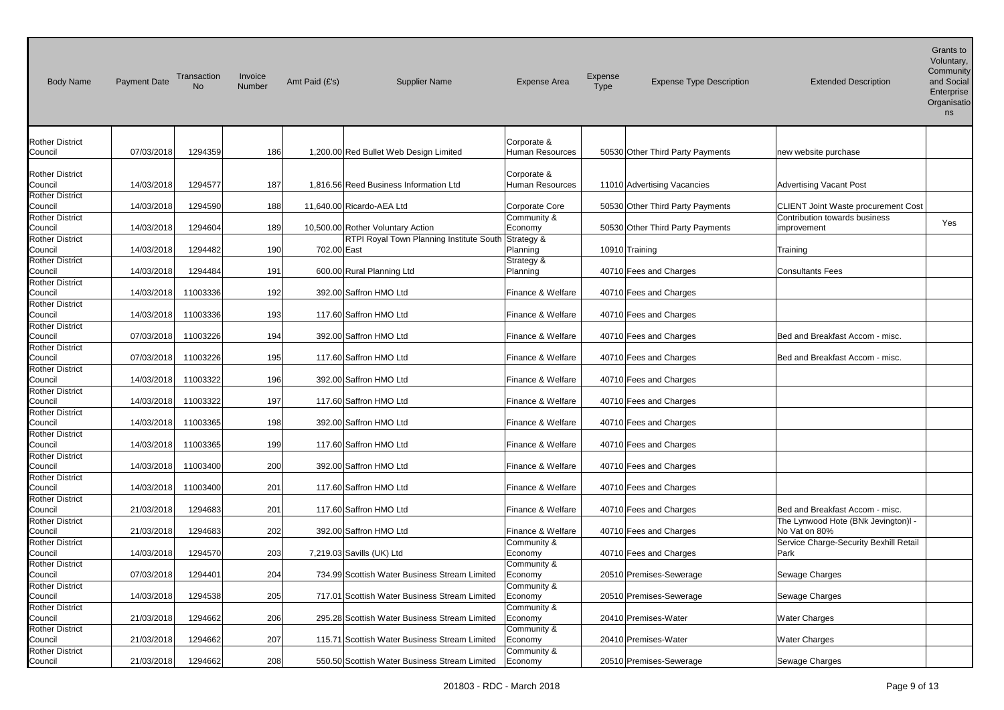| <b>Body Name</b>                                            | <b>Payment Date</b> | Transaction<br>No. | Invoice<br>Number | Amt Paid (£'s)            | <b>Supplier Name</b>                                | <b>Expense Area</b>                   | Expense<br><b>Type</b> | <b>Expense Type Description</b>  | <b>Extended Description</b>                                            | Grants to<br>Voluntary,<br>Community<br>and Social<br>Enterprise<br>Organisatio<br>ns |
|-------------------------------------------------------------|---------------------|--------------------|-------------------|---------------------------|-----------------------------------------------------|---------------------------------------|------------------------|----------------------------------|------------------------------------------------------------------------|---------------------------------------------------------------------------------------|
| <b>Rother District</b><br>Council                           | 07/03/2018          | 1294359            | 186               |                           | 1,200.00 Red Bullet Web Design Limited              | Corporate &<br><b>Human Resources</b> |                        | 50530 Other Third Party Payments | new website purchase                                                   |                                                                                       |
| <b>Rother District</b><br>Council                           | 14/03/2018          | 1294577            | 187               |                           | 1,816.56 Reed Business Information Ltd              | Corporate &<br>Human Resources        |                        | 11010 Advertising Vacancies      | <b>Advertising Vacant Post</b>                                         |                                                                                       |
| <b>Rother District</b><br>Council                           | 14/03/2018          | 1294590            | 188               | 11,640.00 Ricardo-AEA Ltd |                                                     | <b>Corporate Core</b>                 |                        | 50530 Other Third Party Payments | <b>CLIENT Joint Waste procurement Cost</b>                             |                                                                                       |
| <b>Rother District</b><br>Council                           | 14/03/2018          | 1294604            | 189               |                           | 10,500.00 Rother Voluntary Action                   | Community &<br>Economy                |                        | 50530 Other Third Party Payments | Contribution towards business<br>improvement                           | Yes                                                                                   |
| <b>Rother District</b><br>Council                           | 14/03/2018          | 1294482            | 190               | 702.00 East               | RTPI Royal Town Planning Institute South Strategy & | Planning                              |                        | 10910 Training                   | Training                                                               |                                                                                       |
| <b>Rother District</b><br>Council                           | 14/03/2018          | 1294484            | 191               |                           | 600.00 Rural Planning Ltd                           | Strategy &<br>Planning                |                        | 40710 Fees and Charges           | <b>Consultants Fees</b>                                                |                                                                                       |
| <b>Rother District</b><br>Council                           | 14/03/2018          | 11003336           | 192               |                           | 392.00 Saffron HMO Ltd                              | Finance & Welfare                     |                        | 40710 Fees and Charges           |                                                                        |                                                                                       |
| <b>Rother District</b><br>Council                           | 14/03/2018          | 11003336           | 193               |                           | 117.60 Saffron HMO Ltd                              | Finance & Welfare                     |                        | 40710 Fees and Charges           |                                                                        |                                                                                       |
| <b>Rother District</b><br>Council                           | 07/03/2018          | 11003226           | 194               |                           | 392.00 Saffron HMO Ltd                              | Finance & Welfare                     |                        | 40710 Fees and Charges           | Bed and Breakfast Accom - misc.                                        |                                                                                       |
| <b>Rother District</b><br>Council                           | 07/03/2018          | 11003226           | 195               |                           | 117.60 Saffron HMO Ltd                              | Finance & Welfare                     |                        | 40710 Fees and Charges           | Bed and Breakfast Accom - misc.                                        |                                                                                       |
| <b>Rother District</b><br>Council                           | 14/03/2018          | 11003322           | 196               |                           | 392.00 Saffron HMO Ltd                              | Finance & Welfare                     |                        | 40710 Fees and Charges           |                                                                        |                                                                                       |
| <b>Rother District</b><br>Council                           | 14/03/2018          | 11003322           | 197               |                           | 117.60 Saffron HMO Ltd                              | Finance & Welfare                     |                        | 40710 Fees and Charges           |                                                                        |                                                                                       |
| <b>Rother District</b><br>Council<br><b>Rother District</b> | 14/03/2018          | 11003365           | 198               |                           | 392.00 Saffron HMO Ltd                              | Finance & Welfare                     |                        | 40710 Fees and Charges           |                                                                        |                                                                                       |
| Council<br><b>Rother District</b>                           | 14/03/2018          | 11003365           | 199               |                           | 117.60 Saffron HMO Ltd                              | Finance & Welfare                     |                        | 40710 Fees and Charges           |                                                                        |                                                                                       |
| Council<br><b>Rother District</b>                           | 14/03/2018          | 11003400           | 200               |                           | 392.00 Saffron HMO Ltd                              | Finance & Welfare                     |                        | 40710 Fees and Charges           |                                                                        |                                                                                       |
| Council<br><b>Rother District</b>                           | 14/03/2018          | 11003400           | 201               |                           | 117.60 Saffron HMO Ltd                              | Finance & Welfare                     |                        | 40710 Fees and Charges           |                                                                        |                                                                                       |
| Council<br><b>Rother District</b>                           | 21/03/2018          | 1294683            | 201               |                           | 117.60 Saffron HMO Ltd                              | Finance & Welfare                     |                        | 40710 Fees and Charges           | Bed and Breakfast Accom - misc.<br>The Lynwood Hote (BNk Jevington)I - |                                                                                       |
| Council<br><b>Rother District</b>                           | 21/03/2018          | 1294683            | 202               |                           | 392.00 Saffron HMO Ltd                              | Finance & Welfare<br>Community &      |                        | 40710 Fees and Charges           | No Vat on 80%<br>Service Charge-Security Bexhill Retail                |                                                                                       |
| Council<br><b>Rother District</b>                           | 14/03/2018          | 1294570            | 203               |                           | 7,219.03 Savills (UK) Ltd                           | Economy<br>Community &                |                        | 40710 Fees and Charges           | Park                                                                   |                                                                                       |
| Council<br><b>Rother District</b>                           | 07/03/2018          | 1294401            | 204               |                           | 734.99 Scottish Water Business Stream Limited       | Economy<br>Community &                |                        | 20510 Premises-Sewerage          | Sewage Charges                                                         |                                                                                       |
| Council<br><b>Rother District</b>                           | 14/03/2018          | 1294538            | 205               |                           | 717.01 Scottish Water Business Stream Limited       | Economy<br>Community &                |                        | 20510 Premises-Sewerage          | Sewage Charges                                                         |                                                                                       |
| Council<br><b>Rother District</b>                           | 21/03/2018          | 1294662            | 206               |                           | 295.28 Scottish Water Business Stream Limited       | Economy<br>Community &                |                        | 20410 Premises-Water             | Water Charges                                                          |                                                                                       |
| Council<br><b>Rother District</b>                           | 21/03/2018          | 1294662            | 207               |                           | 115.71 Scottish Water Business Stream Limited       | Economy<br>Community &                |                        | 20410 Premises-Water             | <b>Water Charges</b>                                                   |                                                                                       |
| Council                                                     | 21/03/2018          | 1294662            | 208               |                           | 550.50 Scottish Water Business Stream Limited       | Economy                               |                        | 20510 Premises-Sewerage          | Sewage Charges                                                         |                                                                                       |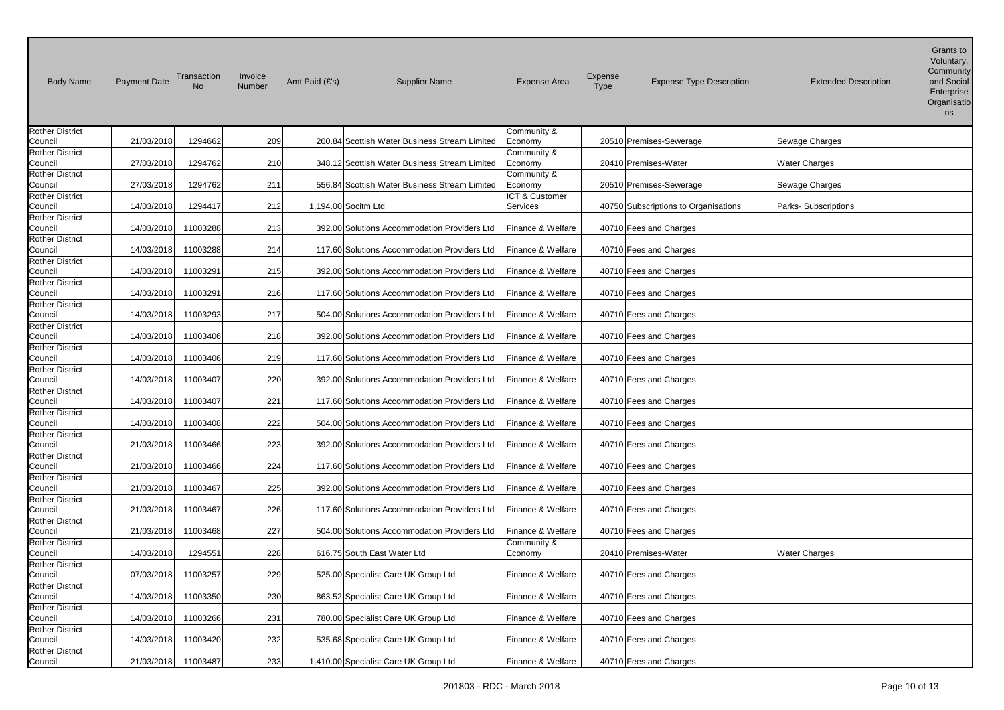| <b>Body Name</b>                  | <b>Payment Date</b> | Transaction<br>No | Invoice<br>Number | Amt Paid (£'s) | <b>Supplier Name</b>                          | <b>Expense Area</b>    | Expense<br><b>Type</b> | <b>Expense Type Description</b>      | <b>Extended Description</b> | Grants to<br>Voluntary,<br>Community<br>and Social<br>Enterprise<br>Organisatio<br>ns |
|-----------------------------------|---------------------|-------------------|-------------------|----------------|-----------------------------------------------|------------------------|------------------------|--------------------------------------|-----------------------------|---------------------------------------------------------------------------------------|
| <b>Rother District</b>            |                     |                   |                   |                |                                               | Community &            |                        |                                      |                             |                                                                                       |
| Council                           | 21/03/2018          | 1294662           | 209               |                | 200.84 Scottish Water Business Stream Limited | Economy                |                        | 20510 Premises-Sewerage              | Sewage Charges              |                                                                                       |
| <b>Rother District</b>            | 27/03/2018          | 1294762           |                   |                | 348.12 Scottish Water Business Stream Limited | Community &            |                        | 20410 Premises-Water                 |                             |                                                                                       |
| Council<br><b>Rother District</b> |                     |                   | 210               |                |                                               | Economy<br>Community & |                        |                                      | Water Charges               |                                                                                       |
| Council                           | 27/03/2018          | 1294762           | 211               |                | 556.84 Scottish Water Business Stream Limited | Economy                |                        | 20510 Premises-Sewerage              | Sewage Charges              |                                                                                       |
| <b>Rother District</b>            |                     |                   |                   |                |                                               | ICT & Customer         |                        |                                      |                             |                                                                                       |
| Council                           | 14/03/2018          | 1294417           | 212               |                | 1,194.00 Socitm Ltd                           | Services               |                        | 40750 Subscriptions to Organisations | Parks- Subscriptions        |                                                                                       |
| <b>Rother District</b>            |                     |                   |                   |                |                                               |                        |                        |                                      |                             |                                                                                       |
| Council                           | 14/03/2018          | 11003288          | 213               |                | 392.00 Solutions Accommodation Providers Ltd  | Finance & Welfare      |                        | 40710 Fees and Charges               |                             |                                                                                       |
| <b>Rother District</b>            |                     |                   |                   |                |                                               |                        |                        |                                      |                             |                                                                                       |
| Council                           | 14/03/2018          | 11003288          | 214               |                | 117.60 Solutions Accommodation Providers Ltd  | Finance & Welfare      |                        | 40710 Fees and Charges               |                             |                                                                                       |
| <b>Rother District</b>            |                     |                   |                   |                |                                               |                        |                        |                                      |                             |                                                                                       |
| Council                           | 14/03/2018          | 11003291          | 215               |                | 392.00 Solutions Accommodation Providers Ltd  | Finance & Welfare      |                        | 40710 Fees and Charges               |                             |                                                                                       |
| <b>Rother District</b><br>Council | 14/03/2018          | 11003291          | 216               |                | 117.60 Solutions Accommodation Providers Ltd  | Finance & Welfare      |                        | 40710 Fees and Charges               |                             |                                                                                       |
| <b>Rother District</b>            |                     |                   |                   |                |                                               |                        |                        |                                      |                             |                                                                                       |
| Council                           | 14/03/2018          | 11003293          | 217               |                | 504.00 Solutions Accommodation Providers Ltd  | Finance & Welfare      |                        | 40710 Fees and Charges               |                             |                                                                                       |
| <b>Rother District</b>            |                     |                   |                   |                |                                               |                        |                        |                                      |                             |                                                                                       |
| Council                           | 14/03/2018          | 11003406          | 218               |                | 392.00 Solutions Accommodation Providers Ltd  | Finance & Welfare      |                        | 40710 Fees and Charges               |                             |                                                                                       |
| <b>Rother District</b>            |                     |                   |                   |                |                                               |                        |                        |                                      |                             |                                                                                       |
| Council                           | 14/03/2018          | 11003406          | 219               |                | 117.60 Solutions Accommodation Providers Ltd  | Finance & Welfare      |                        | 40710 Fees and Charges               |                             |                                                                                       |
| <b>Rother District</b>            |                     |                   |                   |                |                                               |                        |                        |                                      |                             |                                                                                       |
| Council<br><b>Rother District</b> | 14/03/2018          | 11003407          | 220               |                | 392.00 Solutions Accommodation Providers Ltd  | Finance & Welfare      |                        | 40710 Fees and Charges               |                             |                                                                                       |
| Council                           | 14/03/2018          | 11003407          | 221               |                | 117.60 Solutions Accommodation Providers Ltd  | Finance & Welfare      |                        | 40710 Fees and Charges               |                             |                                                                                       |
| <b>Rother District</b>            |                     |                   |                   |                |                                               |                        |                        |                                      |                             |                                                                                       |
| Council                           | 14/03/2018          | 11003408          | 222               |                | 504.00 Solutions Accommodation Providers Ltd  | Finance & Welfare      |                        | 40710 Fees and Charges               |                             |                                                                                       |
| <b>Rother District</b>            |                     |                   |                   |                |                                               |                        |                        |                                      |                             |                                                                                       |
| Council                           | 21/03/2018          | 11003466          | 223               |                | 392.00 Solutions Accommodation Providers Ltd  | Finance & Welfare      |                        | 40710 Fees and Charges               |                             |                                                                                       |
| <b>Rother District</b>            |                     |                   |                   |                |                                               |                        |                        |                                      |                             |                                                                                       |
| Council                           | 21/03/2018          | 11003466          | 224               |                | 117.60 Solutions Accommodation Providers Ltd  | Finance & Welfare      |                        | 40710 Fees and Charges               |                             |                                                                                       |
| <b>Rother District</b>            |                     |                   | 225               |                |                                               |                        |                        |                                      |                             |                                                                                       |
| Council<br><b>Rother District</b> | 21/03/2018          | 11003467          |                   |                | 392.00 Solutions Accommodation Providers Ltd  | Finance & Welfare      |                        | 40710 Fees and Charges               |                             |                                                                                       |
| Council                           | 21/03/2018          | 11003467          | 226               |                | 117.60 Solutions Accommodation Providers Ltd  | Finance & Welfare      |                        | 40710 Fees and Charges               |                             |                                                                                       |
| <b>Rother District</b>            |                     |                   |                   |                |                                               |                        |                        |                                      |                             |                                                                                       |
| Council                           | 21/03/2018          | 11003468          | 227               |                | 504.00 Solutions Accommodation Providers Ltd  | Finance & Welfare      |                        | 40710 Fees and Charges               |                             |                                                                                       |
| <b>Rother District</b>            |                     |                   |                   |                |                                               | Community &            |                        |                                      |                             |                                                                                       |
| Council                           | 14/03/2018          | 1294551           | 228               |                | 616.75 South East Water Ltd                   | Economy                |                        | 20410 Premises-Water                 | <b>Water Charges</b>        |                                                                                       |
| <b>Rother District</b>            |                     |                   |                   |                |                                               |                        |                        |                                      |                             |                                                                                       |
| Council                           | 07/03/2018          | 11003257          | 229               |                | 525.00 Specialist Care UK Group Ltd           | Finance & Welfare      |                        | 40710 Fees and Charges               |                             |                                                                                       |
| <b>Rother District</b>            |                     |                   |                   |                |                                               |                        |                        |                                      |                             |                                                                                       |
| Council<br><b>Rother District</b> | 14/03/2018          | 11003350          | 230               |                | 863.52 Specialist Care UK Group Ltd           | Finance & Welfare      |                        | 40710 Fees and Charges               |                             |                                                                                       |
| Council                           | 14/03/2018          | 11003266          | 231               |                | 780.00 Specialist Care UK Group Ltd           | Finance & Welfare      |                        | 40710 Fees and Charges               |                             |                                                                                       |
| <b>Rother District</b>            |                     |                   |                   |                |                                               |                        |                        |                                      |                             |                                                                                       |
| Council                           | 14/03/2018          | 11003420          | 232               |                | 535.68 Specialist Care UK Group Ltd           | Finance & Welfare      |                        | 40710 Fees and Charges               |                             |                                                                                       |
| <b>Rother District</b>            |                     |                   |                   |                |                                               |                        |                        |                                      |                             |                                                                                       |
| Council                           | 21/03/2018          | 11003487          | 233               |                | 1,410.00 Specialist Care UK Group Ltd         | Finance & Welfare      |                        | 40710 Fees and Charges               |                             |                                                                                       |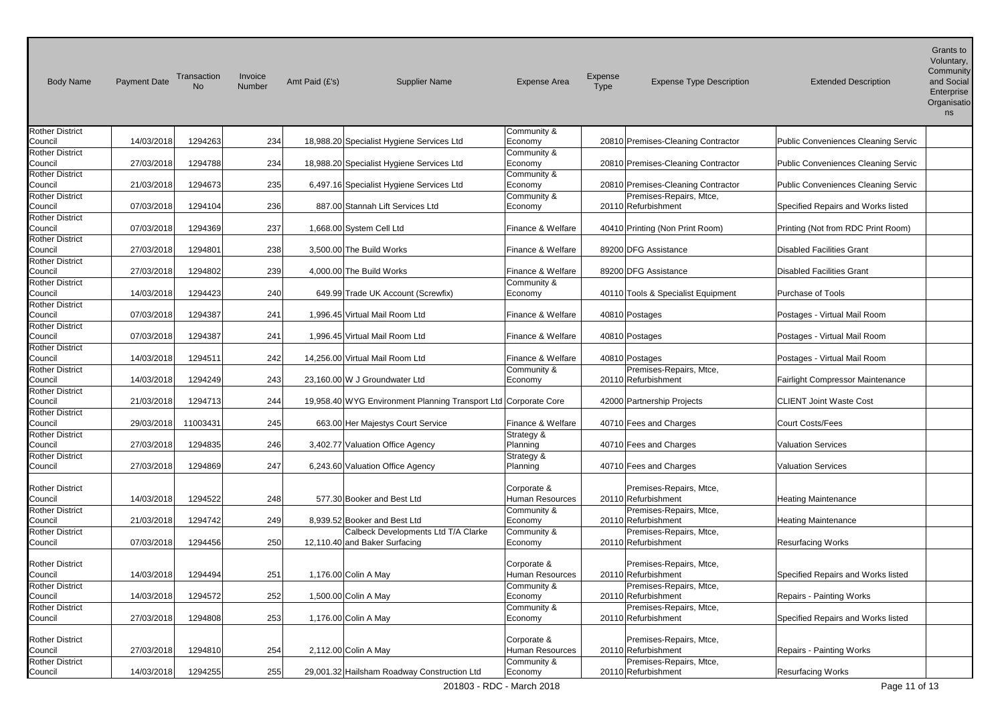| <b>Body Name</b>                  | <b>Payment Date</b> | Transaction<br><b>No</b> | Invoice<br>Number | Amt Paid (£'s)<br><b>Supplier Name</b>                          | <b>Expense Area</b>    | Expense<br><b>Expense Type Description</b><br><b>Type</b> | <b>Extended Description</b>                | Grants to<br>Voluntary,<br>Community<br>and Social<br>Enterprise<br>Organisatio<br>ns |
|-----------------------------------|---------------------|--------------------------|-------------------|-----------------------------------------------------------------|------------------------|-----------------------------------------------------------|--------------------------------------------|---------------------------------------------------------------------------------------|
| <b>Rother District</b>            |                     |                          |                   |                                                                 | Community &            |                                                           |                                            |                                                                                       |
| Council                           | 14/03/2018          | 1294263                  | 234               | 18,988.20 Specialist Hygiene Services Ltd                       | Economy                | 20810 Premises-Cleaning Contractor                        | Public Conveniences Cleaning Servic        |                                                                                       |
| <b>Rother District</b>            |                     |                          |                   |                                                                 | Community &            |                                                           |                                            |                                                                                       |
| Council                           | 27/03/2018          | 1294788                  | 234               | 18,988.20 Specialist Hygiene Services Ltd                       | Economy                | 20810 Premises-Cleaning Contractor                        | Public Conveniences Cleaning Servic        |                                                                                       |
| <b>Rother District</b><br>Council | 21/03/2018          | 1294673                  | 235               | 6,497.16 Specialist Hygiene Services Ltd                        | Community &<br>Economy | 20810 Premises-Cleaning Contractor                        | <b>Public Conveniences Cleaning Servic</b> |                                                                                       |
| <b>Rother District</b>            |                     |                          |                   |                                                                 | Community &            | Premises-Repairs, Mtce,                                   |                                            |                                                                                       |
| Council                           | 07/03/2018          | 1294104                  | 236               | 887.00 Stannah Lift Services Ltd                                | Economy                | 20110 Refurbishment                                       | Specified Repairs and Works listed         |                                                                                       |
| <b>Rother District</b>            |                     |                          |                   |                                                                 |                        |                                                           |                                            |                                                                                       |
| Council                           | 07/03/2018          | 1294369                  | 237               | 1,668.00 System Cell Ltd                                        | Finance & Welfare      | 40410 Printing (Non Print Room)                           | Printing (Not from RDC Print Room)         |                                                                                       |
| <b>Rother District</b>            |                     |                          |                   |                                                                 |                        |                                                           |                                            |                                                                                       |
| Council                           | 27/03/2018          | 1294801                  | 238               | 3,500.00 The Build Works                                        | Finance & Welfare      | 89200 DFG Assistance                                      | <b>Disabled Facilities Grant</b>           |                                                                                       |
| <b>Rother District</b>            |                     |                          |                   |                                                                 |                        |                                                           |                                            |                                                                                       |
| Council                           | 27/03/2018          | 1294802                  | 239               | 4,000.00 The Build Works                                        | Finance & Welfare      | 89200 DFG Assistance                                      | <b>Disabled Facilities Grant</b>           |                                                                                       |
| <b>Rother District</b>            |                     |                          |                   |                                                                 | Community &            |                                                           |                                            |                                                                                       |
| Council                           | 14/03/2018          | 1294423                  | 240               | 649.99 Trade UK Account (Screwfix)                              | Economy                | 40110 Tools & Specialist Equipment                        | <b>Purchase of Tools</b>                   |                                                                                       |
| <b>Rother District</b>            |                     |                          |                   |                                                                 |                        |                                                           |                                            |                                                                                       |
| Council                           | 07/03/2018          | 1294387                  | 241               | 1,996.45 Virtual Mail Room Ltd                                  | Finance & Welfare      | 40810 Postages                                            | Postages - Virtual Mail Room               |                                                                                       |
| <b>Rother District</b>            |                     |                          |                   |                                                                 |                        |                                                           |                                            |                                                                                       |
| Council                           | 07/03/2018          | 1294387                  | 241               | 1.996.45 Virtual Mail Room Ltd                                  | Finance & Welfare      | 40810 Postages                                            | Postages - Virtual Mail Room               |                                                                                       |
| <b>Rother District</b>            |                     |                          |                   |                                                                 |                        |                                                           |                                            |                                                                                       |
| Council                           | 14/03/2018          | 1294511                  | 242               | 14.256.00 Virtual Mail Room Ltd                                 | Finance & Welfare      | 40810 Postages                                            | Postages - Virtual Mail Room               |                                                                                       |
| <b>Rother District</b>            |                     |                          |                   |                                                                 | Community &            | Premises-Repairs, Mtce,                                   |                                            |                                                                                       |
| Council                           | 14/03/2018          | 1294249                  | 243               | 23,160.00 W J Groundwater Ltd                                   | Economy                | 20110 Refurbishment                                       | Fairlight Compressor Maintenance           |                                                                                       |
| <b>Rother District</b>            | 21/03/2018          | 1294713                  | 244               | 19,958.40 WYG Environment Planning Transport Ltd Corporate Core |                        | 42000 Partnership Projects                                | <b>CLIENT Joint Waste Cost</b>             |                                                                                       |
| Council<br><b>Rother District</b> |                     |                          |                   |                                                                 |                        |                                                           |                                            |                                                                                       |
| Council                           | 29/03/2018          | 11003431                 | 245               | 663.00 Her Majestys Court Service                               | Finance & Welfare      | 40710 Fees and Charges                                    | <b>Court Costs/Fees</b>                    |                                                                                       |
| <b>Rother District</b>            |                     |                          |                   |                                                                 | Strategy &             |                                                           |                                            |                                                                                       |
| Council                           | 27/03/2018          | 1294835                  | 246               | 3,402.77 Valuation Office Agency                                | Planning               | 40710 Fees and Charges                                    | <b>Valuation Services</b>                  |                                                                                       |
| <b>Rother District</b>            |                     |                          |                   |                                                                 | Strategy &             |                                                           |                                            |                                                                                       |
| Council                           | 27/03/2018          | 1294869                  | 247               | 6,243.60 Valuation Office Agency                                | Planning               | 40710 Fees and Charges                                    | <b>Valuation Services</b>                  |                                                                                       |
|                                   |                     |                          |                   |                                                                 |                        |                                                           |                                            |                                                                                       |
| <b>Rother District</b>            |                     |                          |                   |                                                                 | Corporate &            | Premises-Repairs, Mtce,                                   |                                            |                                                                                       |
| Council                           | 14/03/2018          | 1294522                  | 248               | 577.30 Booker and Best Ltd                                      | Human Resources        | 20110 Refurbishment                                       | <b>Heating Maintenance</b>                 |                                                                                       |
| <b>Rother District</b>            |                     |                          |                   |                                                                 | Community &            | Premises-Repairs, Mtce,                                   |                                            |                                                                                       |
| Council                           | 21/03/2018          | 1294742                  | 249               | 8,939.52 Booker and Best Ltd                                    | Economy                | 20110 Refurbishment                                       | <b>Heating Maintenance</b>                 |                                                                                       |
| <b>Rother District</b>            |                     |                          |                   | Calbeck Developments Ltd T/A Clarke                             | Community &            | Premises-Repairs, Mtce,                                   |                                            |                                                                                       |
| Council                           | 07/03/2018          | 1294456                  | 250               | 12,110.40 and Baker Surfacing                                   | Economy                | 20110 Refurbishment                                       | <b>Resurfacing Works</b>                   |                                                                                       |
|                                   |                     |                          |                   |                                                                 |                        |                                                           |                                            |                                                                                       |
| <b>Rother District</b>            |                     |                          |                   |                                                                 | Corporate &            | Premises-Repairs, Mtce,                                   |                                            |                                                                                       |
| Council                           | 14/03/2018          | 1294494                  | 251               | 1,176.00 Colin A May                                            | Human Resources        | 20110 Refurbishment                                       | Specified Repairs and Works listed         |                                                                                       |
| <b>Rother District</b>            |                     |                          |                   |                                                                 | Community &            | Premises-Repairs, Mtce,                                   |                                            |                                                                                       |
| Council                           | 14/03/2018          | 1294572                  | 252               | 1,500.00 Colin A May                                            | Economy                | 20110 Refurbishment                                       | Repairs - Painting Works                   |                                                                                       |
| <b>Rother District</b><br>Council | 27/03/2018          | 1294808                  | 253               | 1,176.00 Colin A May                                            | Community &<br>Economy | Premises-Repairs, Mtce,<br>20110 Refurbishment            | Specified Repairs and Works listed         |                                                                                       |
|                                   |                     |                          |                   |                                                                 |                        |                                                           |                                            |                                                                                       |
| <b>Rother District</b>            |                     |                          |                   |                                                                 | Corporate &            | Premises-Repairs, Mtce,                                   |                                            |                                                                                       |
| Council                           | 27/03/2018          | 1294810                  | 254               | 2,112.00 Colin A May                                            | Human Resources        | 20110 Refurbishment                                       | Repairs - Painting Works                   |                                                                                       |
| <b>Rother District</b>            |                     |                          |                   |                                                                 | Community &            | Premises-Repairs, Mtce,                                   |                                            |                                                                                       |
| Council                           | 14/03/2018          | 1294255                  | 255               | 29,001.32 Hailsham Roadway Construction Ltd                     | Economy                | 20110 Refurbishment                                       | <b>Resurfacing Works</b>                   |                                                                                       |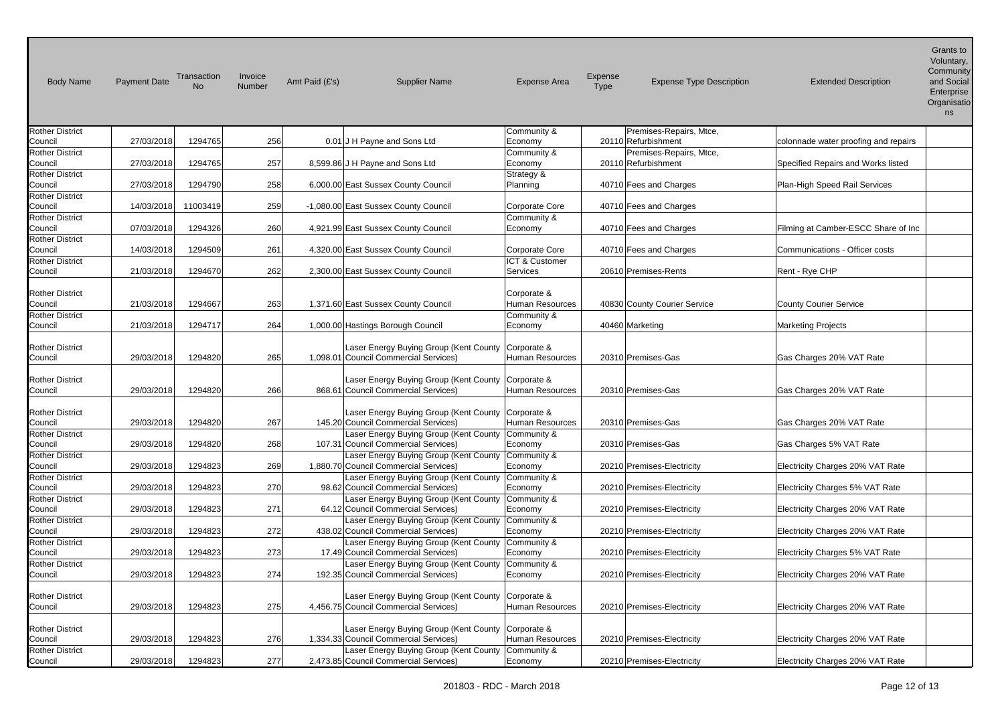| <b>Body Name</b>                  | Payment Date | Transaction<br><b>No</b> | Invoice<br>Number | Amt Paid (£'s) | <b>Supplier Name</b>                                                                        | <b>Expense Area</b>                   | Expense<br><b>Type</b> | <b>Expense Type Description</b>                | <b>Extended Description</b>          | Grants to<br>Voluntary,<br>Community<br>and Social<br>Enterprise<br>Organisatio<br>ns |
|-----------------------------------|--------------|--------------------------|-------------------|----------------|---------------------------------------------------------------------------------------------|---------------------------------------|------------------------|------------------------------------------------|--------------------------------------|---------------------------------------------------------------------------------------|
| <b>Rother District</b>            |              |                          |                   |                |                                                                                             | Community &                           |                        | Premises-Repairs, Mtce,                        |                                      |                                                                                       |
| Council                           | 27/03/2018   | 1294765                  | 256               |                | 0.01 J H Payne and Sons Ltd                                                                 | Economy                               |                        | 20110 Refurbishment                            | colonnade water proofing and repairs |                                                                                       |
| <b>Rother District</b><br>Council | 27/03/2018   | 1294765                  | 257               |                | 8,599.86 J H Payne and Sons Ltd                                                             | Community &<br>Economy                |                        | Premises-Repairs, Mtce,<br>20110 Refurbishment | Specified Repairs and Works listed   |                                                                                       |
| <b>Rother District</b>            |              |                          |                   |                |                                                                                             | Strategy &                            |                        |                                                |                                      |                                                                                       |
| Council                           | 27/03/2018   | 1294790                  | 258               |                | 6,000.00 East Sussex County Council                                                         | Planning                              |                        | 40710 Fees and Charges                         | Plan-High Speed Rail Services        |                                                                                       |
| <b>Rother District</b>            |              |                          |                   |                |                                                                                             |                                       |                        |                                                |                                      |                                                                                       |
| Council                           | 14/03/2018   | 11003419                 | 259               |                | -1,080.00 East Sussex County Council                                                        | Corporate Core                        |                        | 40710 Fees and Charges                         |                                      |                                                                                       |
| <b>Rother District</b>            |              |                          |                   |                |                                                                                             | Community &                           |                        |                                                |                                      |                                                                                       |
| Council                           | 07/03/2018   | 1294326                  | 260               |                | 4,921.99 East Sussex County Council                                                         | Economy                               |                        | 40710 Fees and Charges                         | Filming at Camber-ESCC Share of Inc  |                                                                                       |
| <b>Rother District</b>            |              |                          |                   |                |                                                                                             |                                       |                        |                                                |                                      |                                                                                       |
| Council<br><b>Rother District</b> | 14/03/2018   | 1294509                  | 261               |                | 4,320.00 East Sussex County Council                                                         | Corporate Core<br>ICT & Customer      |                        | 40710 Fees and Charges                         | Communications - Officer costs       |                                                                                       |
| Council                           | 21/03/2018   | 1294670                  | 262               |                | 2,300.00 East Sussex County Council                                                         | <b>Services</b>                       |                        | 20610 Premises-Rents                           | Rent - Rye CHP                       |                                                                                       |
|                                   |              |                          |                   |                |                                                                                             |                                       |                        |                                                |                                      |                                                                                       |
| <b>Rother District</b><br>Council | 21/03/2018   | 1294667                  | 263               |                | 1,371.60 East Sussex County Council                                                         | Corporate &<br><b>Human Resources</b> |                        | 40830 County Courier Service                   | <b>County Courier Service</b>        |                                                                                       |
| <b>Rother District</b>            |              |                          |                   |                |                                                                                             | Community &                           |                        |                                                |                                      |                                                                                       |
| Council                           | 21/03/2018   | 1294717                  | 264               |                | 1,000.00 Hastings Borough Council                                                           | Economy                               |                        | 40460 Marketing                                | <b>Marketing Projects</b>            |                                                                                       |
| <b>Rother District</b><br>Council | 29/03/2018   | 1294820                  | 265               |                | Laser Energy Buying Group (Kent County Corporate &<br>1,098.01 Council Commercial Services) | <b>Human Resources</b>                |                        | 20310 Premises-Gas                             | Gas Charges 20% VAT Rate             |                                                                                       |
| <b>Rother District</b><br>Council | 29/03/2018   | 1294820                  | 266               |                | Laser Energy Buying Group (Kent County Corporate &<br>868.61 Council Commercial Services)   | <b>Human Resources</b>                |                        | 20310 Premises-Gas                             | Gas Charges 20% VAT Rate             |                                                                                       |
| <b>Rother District</b><br>Council | 29/03/2018   | 1294820                  | 267               |                | Laser Energy Buying Group (Kent County   Corporate &<br>145.20 Council Commercial Services) | Human Resources                       |                        | 20310 Premises-Gas                             | Gas Charges 20% VAT Rate             |                                                                                       |
| <b>Rother District</b>            |              |                          | 268               |                | Laser Energy Buying Group (Kent County                                                      | Community &                           |                        |                                                |                                      |                                                                                       |
| Council<br><b>Rother District</b> | 29/03/2018   | 1294820                  |                   |                | 107.31 Council Commercial Services)<br>Laser Energy Buying Group (Kent County Community &   | Economy                               |                        | 20310 Premises-Gas                             | Gas Charges 5% VAT Rate              |                                                                                       |
| Council                           | 29/03/2018   | 1294823                  | 269               |                | 1,880.70 Council Commercial Services)                                                       | Economy                               |                        | 20210 Premises-Electricity                     | Electricity Charges 20% VAT Rate     |                                                                                       |
| <b>Rother District</b>            |              |                          |                   |                | Laser Energy Buying Group (Kent County Community &                                          |                                       |                        |                                                |                                      |                                                                                       |
| Council                           | 29/03/2018   | 1294823                  | 270               |                | 98.62 Council Commercial Services)                                                          | Economy                               |                        | 20210 Premises-Electricity                     | Electricity Charges 5% VAT Rate      |                                                                                       |
| <b>Rother District</b>            |              |                          |                   |                | Laser Energy Buying Group (Kent County                                                      | Community &                           |                        |                                                |                                      |                                                                                       |
| Council                           | 29/03/2018   | 1294823                  | 271               |                | 64.12 Council Commercial Services)                                                          | Economy                               |                        | 20210 Premises-Electricity                     | Electricity Charges 20% VAT Rate     |                                                                                       |
| <b>Rother District</b>            |              |                          |                   |                | Laser Energy Buying Group (Kent County                                                      | Community &                           |                        |                                                |                                      |                                                                                       |
| Council                           | 29/03/2018   | 1294823                  | 272               |                | 438.02 Council Commercial Services)                                                         | Economy                               |                        | 20210 Premises-Electricity                     | Electricity Charges 20% VAT Rate     |                                                                                       |
| <b>Rother District</b><br>Council | 29/03/2018   | 1294823                  | 273               |                | Laser Energy Buying Group (Kent County<br>17.49 Council Commercial Services)                | Community &<br>Economy                |                        | 20210 Premises-Electricity                     | Electricity Charges 5% VAT Rate      |                                                                                       |
| <b>Rother District</b>            |              |                          |                   |                | Laser Energy Buying Group (Kent County Community &                                          |                                       |                        |                                                |                                      |                                                                                       |
| Council                           | 29/03/2018   | 1294823                  | 274               |                | 192.35 Council Commercial Services)                                                         | Economy                               |                        | 20210 Premises-Electricity                     | Electricity Charges 20% VAT Rate     |                                                                                       |
| <b>Rother District</b><br>Council | 29/03/2018   | 1294823                  | 275               |                | Laser Energy Buying Group (Kent County Corporate &<br>4,456.75 Council Commercial Services) | <b>Human Resources</b>                |                        | 20210 Premises-Electricity                     | Electricity Charges 20% VAT Rate     |                                                                                       |
|                                   |              |                          |                   |                |                                                                                             |                                       |                        |                                                |                                      |                                                                                       |
| <b>Rother District</b><br>Council | 29/03/2018   | 1294823                  | 276               |                | Laser Energy Buying Group (Kent County Corporate &<br>1,334.33 Council Commercial Services) | Human Resources                       |                        | 20210 Premises-Electricity                     | Electricity Charges 20% VAT Rate     |                                                                                       |
| <b>Rother District</b><br>Council | 29/03/2018   | 1294823                  | 277               |                | Laser Energy Buying Group (Kent County Community &<br>2,473.85 Council Commercial Services) | Economy                               |                        | 20210 Premises-Electricity                     | Electricity Charges 20% VAT Rate     |                                                                                       |